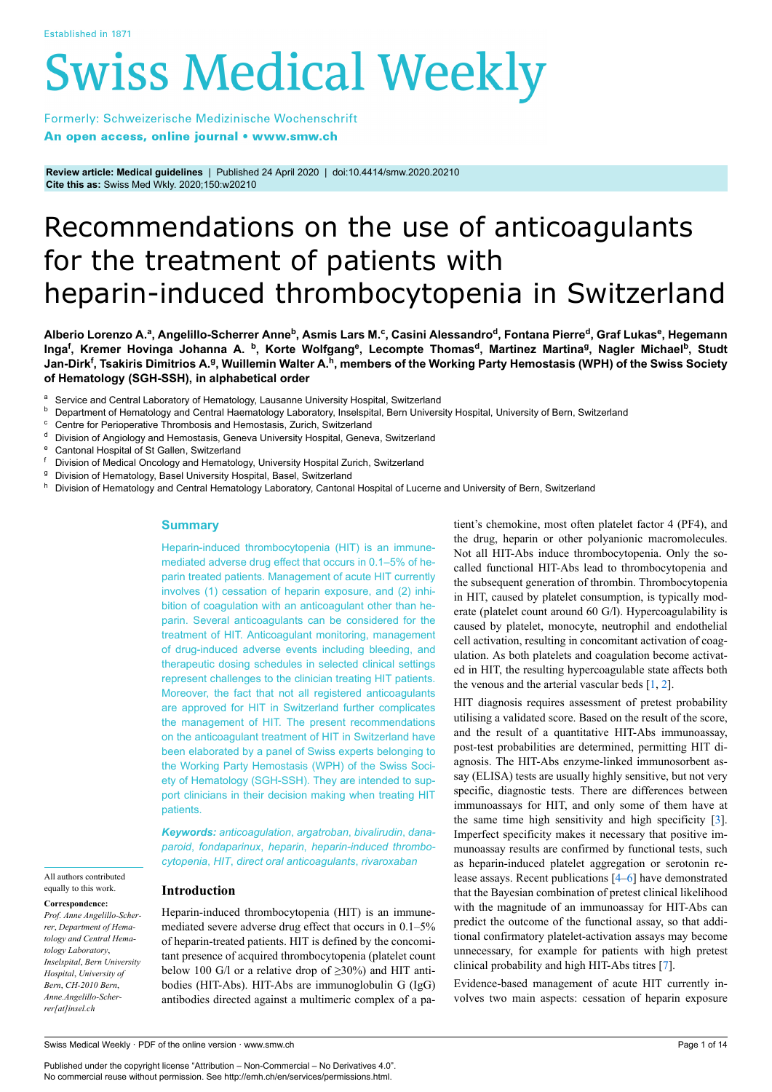# **Swiss Medical Weekly**

Formerly: Schweizerische Medizinische Wochenschrift An open access, online journal • www.smw.ch

**Review article: Medical guidelines** | Published 24 April 2020 | doi:10.4414/smw.2020.20210 **Cite this as:** Swiss Med Wkly. 2020;150:w20210

# Recommendations on the use of anticoagulants for the treatment of patients with heparin-induced thrombocytopenia in Switzerland

Alberio Lorenzo A.ª, Angelillo-Scherrer Anne<sup>b</sup>, Asmis Lars M.<sup>c</sup>, Casini Alessandro<sup>d</sup>, Fontana Pierre<sup>d</sup>, Graf Lukas<sup>e</sup>, Hegemann Inga<sup>f</sup>, Kremer Hovinga Johanna A. <sup>b</sup>, Korte Wolfgang<sup>e</sup>, Lecompte Thomas<sup>d</sup>, Martinez Martina<sup>g</sup>, Nagler Michael<sup>b</sup>, Studt **Jan-Dirk<sup>f</sup> , Tsakiris Dimitrios A.<sup>g</sup> , Wuillemin Walter A.<sup>h</sup> , members of the Working Party Hemostasis (WPH) of the Swiss Society of Hematology (SGH-SSH), in alphabetical order**

- <sup>a</sup> Service and Central Laboratory of Hematology, Lausanne University Hospital, Switzerland<br> **b** Department of University and Central University in the proton University Hospital, Dem University
- **b** Department of Hematology and Central Haematology Laboratory, Inselspital, Bern University Hospital, University of Bern, Switzerland<br>
Se Centra for Devian article Thremberia and Unmertaria Zuriah, Switzerland
- Centre for Perioperative Thrombosis and Hemostasis, Zurich, Switzerland
- d Division of Angiology and Hemostasis, Geneva University Hospital, Geneva, Switzerland
- <sup>e</sup> Cantonal Hospital of St Gallen, Switzerland<br>
<sup>f</sup> Division of Medical Opealogy and Homatalo
- Division of Medical Oncology and Hematology, University Hospital Zurich, Switzerland
- <sup>g</sup> Division of Hematology, Basel University Hospital, Basel, Switzerland
- Division of Hematology and Central Hematology Laboratory, Cantonal Hospital of Lucerne and University of Bern, Switzerland

#### **Summary**

Heparin-induced thrombocytopenia (HIT) is an immunemediated adverse drug effect that occurs in 0.1–5% of heparin treated patients. Management of acute HIT currently involves (1) cessation of heparin exposure, and (2) inhibition of coagulation with an anticoagulant other than heparin. Several anticoagulants can be considered for the treatment of HIT. Anticoagulant monitoring, management of drug-induced adverse events including bleeding, and therapeutic dosing schedules in selected clinical settings represent challenges to the clinician treating HIT patients. Moreover, the fact that not all registered anticoagulants are approved for HIT in Switzerland further complicates the management of HIT. The present recommendations on the anticoagulant treatment of HIT in Switzerland have been elaborated by a panel of Swiss experts belonging to the Working Party Hemostasis (WPH) of the Swiss Society of Hematology (SGH-SSH). They are intended to support clinicians in their decision making when treating HIT patients.

*Keywords: anticoagulation*, *argatroban*, *bivalirudin*, *danaparoid*, *fondaparinux*, *heparin*, *heparin-induced thrombocytopenia*, *HIT*, *direct oral anticoagulants*, *rivaroxaban*

**Introduction**

Heparin-induced thrombocytopenia (HIT) is an immunemediated severe adverse drug effect that occurs in 0.1–5% of heparin-treated patients. HIT is defined by the concomitant presence of acquired thrombocytopenia (platelet count below 100 G/l or a relative drop of  $\geq 30\%$ ) and HIT antibodies (HIT-Abs). HIT-Abs are immunoglobulin G (IgG) antibodies directed against a multimeric complex of a patient's chemokine, most often platelet factor 4 (PF4), and the drug, heparin or other polyanionic macromolecules. Not all HIT-Abs induce thrombocytopenia. Only the socalled functional HIT-Abs lead to thrombocytopenia and the subsequent generation of thrombin. Thrombocytopenia in HIT, caused by platelet consumption, is typically moderate (platelet count around 60 G/l). Hypercoagulability is caused by platelet, monocyte, neutrophil and endothelial cell activation, resulting in concomitant activation of coagulation. As both platelets and coagulation become activated in HIT, the resulting hypercoagulable state affects both the venous and the arterial vascular beds [\[1,](#page-11-0) [2\]](#page-11-1).

HIT diagnosis requires assessment of pretest probability utilising a validated score. Based on the result of the score, and the result of a quantitative HIT-Abs immunoassay, post-test probabilities are determined, permitting HIT diagnosis. The HIT-Abs enzyme-linked immunosorbent assay (ELISA) tests are usually highly sensitive, but not very specific, diagnostic tests. There are differences between immunoassays for HIT, and only some of them have at the same time high sensitivity and high specificity [[3](#page-11-2)]. Imperfect specificity makes it necessary that positive immunoassay results are confirmed by functional tests, such as heparin-induced platelet aggregation or serotonin release assays. Recent publications [[4](#page-11-3)–[6](#page-11-4)] have demonstrated that the Bayesian combination of pretest clinical likelihood with the magnitude of an immunoassay for HIT-Abs can predict the outcome of the functional assay, so that additional confirmatory platelet-activation assays may become unnecessary, for example for patients with high pretest clinical probability and high HIT-Abs titres [\[7\]](#page-11-5).

Evidence-based management of acute HIT currently involves two main aspects: cessation of heparin exposure

# All authors contributed equally to this work.

**Correspondence:** *Prof. Anne Angelillo-Scherrer*, *Department of Hematology and Central Hematology Laboratory*, *Inselspital*, *Bern University Hospital*, *University of Bern*, *CH-2010 Bern*, *Anne.Angelillo-Scherrer[at]insel.ch*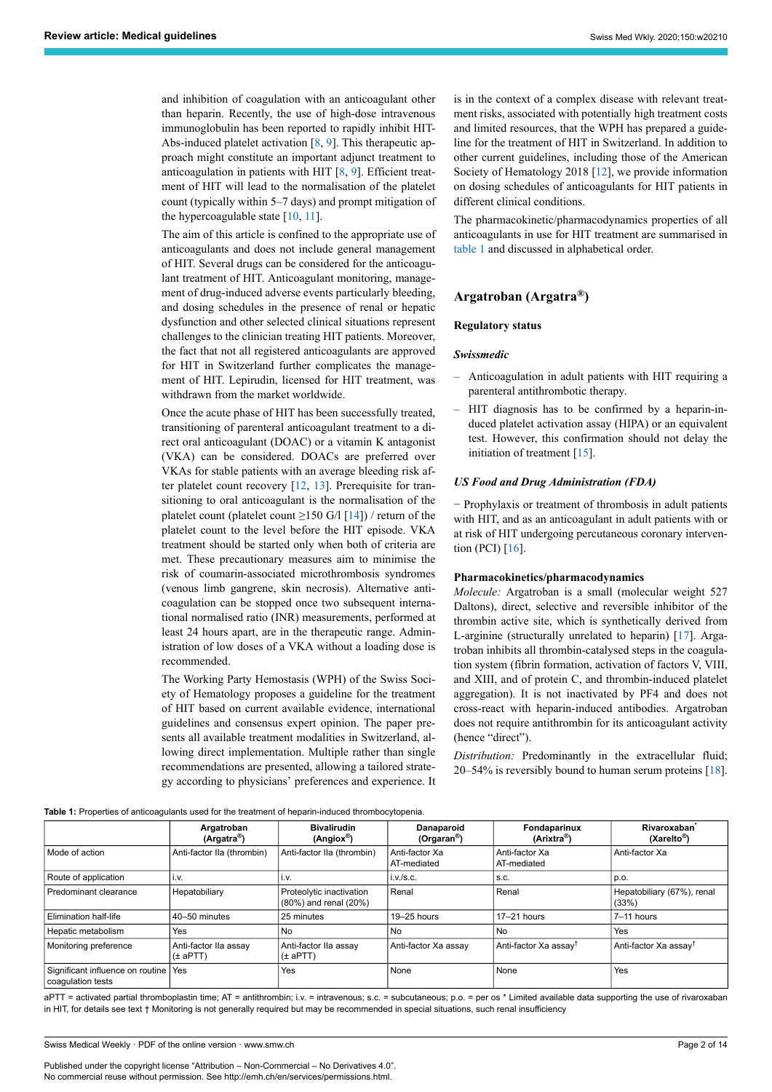and inhibition of coagulation with an anticoagulant other than heparin. Recently, the use of high-dose intravenous immunoglobulin has been reported to rapidly inhibit HIT-Abs-induced platelet activation [[8](#page-11-6), [9](#page-11-7)]. This therapeutic approach might constitute an important adjunct treatment to anticoagulation in patients with HIT [[8](#page-11-6), [9](#page-11-7)]. Efficient treatment of HIT will lead to the normalisation of the platelet count (typically within 5–7 days) and prompt mitigation of the hypercoagulable state [\[10](#page-11-8), [11\]](#page-11-9).

The aim of this article is confined to the appropriate use of anticoagulants and does not include general management of HIT. Several drugs can be considered for the anticoagulant treatment of HIT. Anticoagulant monitoring, management of drug-induced adverse events particularly bleeding, and dosing schedules in the presence of renal or hepatic dysfunction and other selected clinical situations represent challenges to the clinician treating HIT patients. Moreover, the fact that not all registered anticoagulants are approved for HIT in Switzerland further complicates the management of HIT. Lepirudin, licensed for HIT treatment, was withdrawn from the market worldwide.

Once the acute phase of HIT has been successfully treated, transitioning of parenteral anticoagulant treatment to a direct oral anticoagulant (DOAC) or a vitamin K antagonist (VKA) can be considered. DOACs are preferred over VKAs for stable patients with an average bleeding risk after platelet count recovery [[12,](#page-11-10) [13\]](#page-11-11). Prerequisite for transitioning to oral anticoagulant is the normalisation of the platelet count (platelet count  $\geq$ 150 G/l [[14\]](#page-11-12)) / return of the platelet count to the level before the HIT episode. VKA treatment should be started only when both of criteria are met. These precautionary measures aim to minimise the risk of coumarin-associated microthrombosis syndromes (venous limb gangrene, skin necrosis). Alternative anticoagulation can be stopped once two subsequent international normalised ratio (INR) measurements, performed at least 24 hours apart, are in the therapeutic range. Administration of low doses of a VKA without a loading dose is recommended.

The Working Party Hemostasis (WPH) of the Swiss Society of Hematology proposes a guideline for the treatment of HIT based on current available evidence, international guidelines and consensus expert opinion. The paper presents all available treatment modalities in Switzerland, allowing direct implementation. Multiple rather than single recommendations are presented, allowing a tailored strategy according to physicians' preferences and experience. It is in the context of a complex disease with relevant treatment risks, associated with potentially high treatment costs and limited resources, that the WPH has prepared a guideline for the treatment of HIT in Switzerland. In addition to other current guidelines, including those of the American Society of Hematology 2018 [\[12](#page-11-10)], we provide information on dosing schedules of anticoagulants for HIT patients in different clinical conditions.

The pharmacokinetic/pharmacodynamics properties of all anticoagulants in use for HIT treatment are summarised in [table 1](#page-1-0) and discussed in alphabetical order.

# **Argatroban (Argatra®)**

#### **Regulatory status**

#### *Swissmedic*

- Anticoagulation in adult patients with HIT requiring a parenteral antithrombotic therapy.
- HIT diagnosis has to be confirmed by a heparin-induced platelet activation assay (HIPA) or an equivalent test. However, this confirmation should not delay the initiation of treatment [\[15](#page-11-13)].

#### *US Food and Drug Administration (FDA)*

− Prophylaxis or treatment of thrombosis in adult patients with HIT, and as an anticoagulant in adult patients with or at risk of HIT undergoing percutaneous coronary intervention (PCI) [[16\]](#page-11-14).

#### **Pharmacokinetics/pharmacodynamics**

*Molecule:* Argatroban is a small (molecular weight 527 Daltons), direct, selective and reversible inhibitor of the thrombin active site, which is synthetically derived from L-arginine (structurally unrelated to heparin) [[17\]](#page-11-15). Argatroban inhibits all thrombin-catalysed steps in the coagulation system (fibrin formation, activation of factors V, VIII, and XIII, and of protein C, and thrombin-induced platelet aggregation). It is not inactivated by PF4 and does not cross-react with heparin-induced antibodies. Argatroban does not require antithrombin for its anticoagulant activity (hence "direct").

*Distribution:* Predominantly in the extracellular fluid; 20–54% is reversibly bound to human serum proteins [\[18](#page-11-16)].

**Table 1:** Properties of anticoagulants used for the treatment of heparin-induced thrombocytopenia.

<span id="page-1-0"></span>

|                                                             | Argatroban<br>(Argatra <sup>®</sup> ) | <b>Bivalirudin</b><br>$(Angiox^{\circledR})$      | Danaparoid<br>(Orgaran <sup>®</sup> ) | Fondaparinux<br>(Arixtra <sup>®</sup> ) | Rivaroxaban <sup>*</sup><br>$(XareIto^{\circledR})$ |
|-------------------------------------------------------------|---------------------------------------|---------------------------------------------------|---------------------------------------|-----------------------------------------|-----------------------------------------------------|
| Mode of action                                              | Anti-factor IIa (thrombin)            | Anti-factor IIa (thrombin)                        | Anti-factor Xa<br>AT-mediated         | Anti-factor Xa<br>AT-mediated           | Anti-factor Xa                                      |
| Route of application                                        | i.v.                                  | i.v.                                              | i.v./s.c.                             | S.C.                                    | p.o.                                                |
| Predominant clearance                                       | Hepatobiliary                         | Proteolytic inactivation<br>(80%) and renal (20%) | Renal                                 | Renal                                   | Hepatobiliary (67%), renal<br>(33%)                 |
| <b>Elimination half-life</b>                                | 40-50 minutes                         | 25 minutes                                        | $19 - 25$ hours                       | $17-21$ hours                           | 7-11 hours                                          |
| Hepatic metabolism                                          | Yes                                   | No                                                | N <sub>o</sub>                        | No                                      | Yes                                                 |
| Monitoring preference                                       | Anti-factor IIa assay<br>$(\pm$ aPTT) | Anti-factor IIa assay<br>$(\pm$ aPTT)             | Anti-factor Xa assay                  | Anti-factor Xa assay <sup>†</sup>       | Anti-factor Xa assay <sup>†</sup>                   |
| Significant influence on routine   Yes<br>coagulation tests |                                       | Yes                                               | None                                  | None                                    | Yes                                                 |

aPTT = activated partial thromboplastin time; AT = antithrombin; i.v. = intravenous; s.c. = subcutaneous; p.o. = per os \* Limited available data supporting the use of rivaroxaban in HIT, for details see text † Monitoring is not generally required but may be recommended in special situations, such renal insufficiency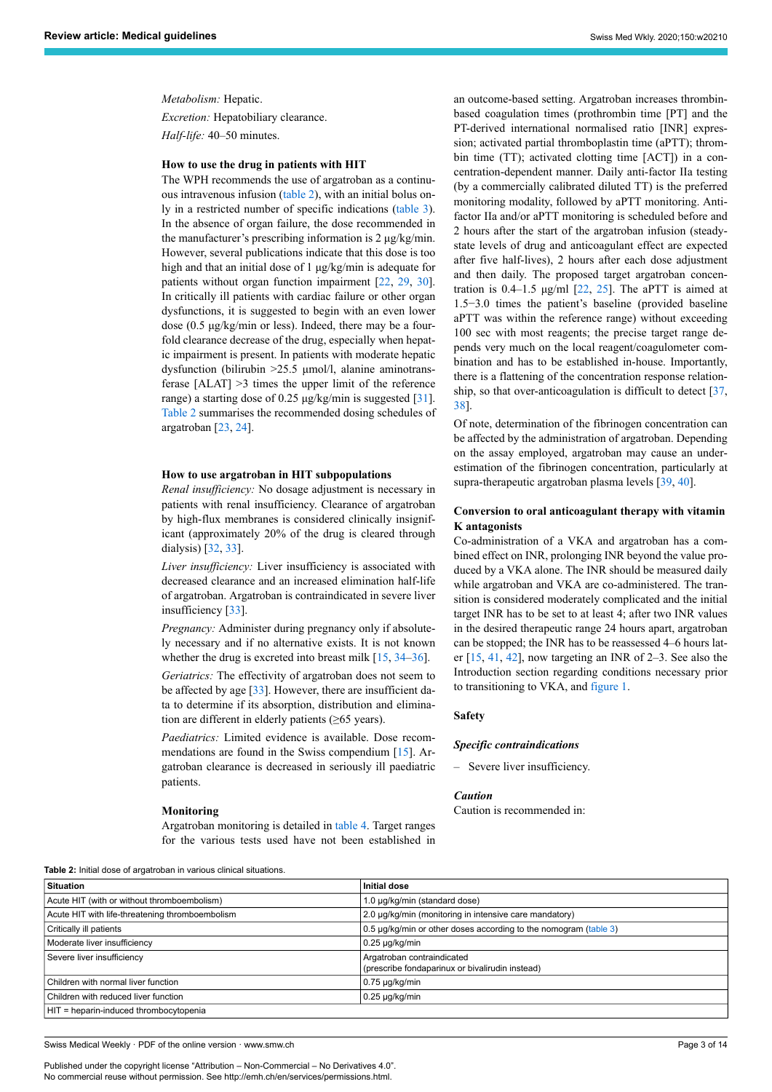*Metabolism:* Hepatic. *Excretion:* Hepatobiliary clearance. *Half-life:* 40–50 minutes.

# **How to use the drug in patients with HIT**

The WPH recommends the use of argatroban as a continuous intravenous infusion [\(table 2\)](#page-2-0), with an initial bolus only in a restricted number of specific indications ([table 3\)](#page-3-0). In the absence of organ failure, the dose recommended in the manufacturer's prescribing information is 2 μg/kg/min. However, several publications indicate that this dose is too high and that an initial dose of 1 μg/kg/min is adequate for patients without organ function impairment [\[22](#page-11-17), [29,](#page-11-18) [30\]](#page-11-19). In critically ill patients with cardiac failure or other organ dysfunctions, it is suggested to begin with an even lower dose (0.5 μg/kg/min or less). Indeed, there may be a fourfold clearance decrease of the drug, especially when hepatic impairment is present. In patients with moderate hepatic dysfunction (bilirubin >25.5 μmol/l, alanine aminotransferase [ALAT] >3 times the upper limit of the reference range) a starting dose of 0.25 μg/kg/min is suggested [[31\]](#page-11-20). [Table 2](#page-2-0) summarises the recommended dosing schedules of argatroban [\[23](#page-11-21), [24\]](#page-11-22).

#### **How to use argatroban in HIT subpopulations**

*Renal insufficiency:* No dosage adjustment is necessary in patients with renal insufficiency. Clearance of argatroban by high-flux membranes is considered clinically insignificant (approximately 20% of the drug is cleared through dialysis) [\[32](#page-11-23), [33\]](#page-11-24).

*Liver insufficiency:* Liver insufficiency is associated with decreased clearance and an increased elimination half-life of argatroban. Argatroban is contraindicated in severe liver insufficiency [[33\]](#page-11-24).

*Pregnancy:* Administer during pregnancy only if absolutely necessary and if no alternative exists. It is not known whether the drug is excreted into breast milk [[15,](#page-11-13) [34](#page-12-0)–[36\]](#page-12-1).

*Geriatrics:* The effectivity of argatroban does not seem to be affected by age [[33\]](#page-11-24). However, there are insufficient data to determine if its absorption, distribution and elimination are different in elderly patients (≥65 years).

*Paediatrics:* Limited evidence is available. Dose recommendations are found in the Swiss compendium [\[15](#page-11-13)]. Argatroban clearance is decreased in seriously ill paediatric patients.

#### **Monitoring**

Argatroban monitoring is detailed in [table 4.](#page-5-0) Target ranges for the various tests used have not been established in an outcome-based setting. Argatroban increases thrombinbased coagulation times (prothrombin time [PT] and the PT-derived international normalised ratio [INR] expression; activated partial thromboplastin time (aPTT); thrombin time (TT); activated clotting time [ACT]) in a concentration-dependent manner. Daily anti-factor IIa testing (by a commercially calibrated diluted TT) is the preferred monitoring modality, followed by aPTT monitoring. Antifactor IIa and/or aPTT monitoring is scheduled before and 2 hours after the start of the argatroban infusion (steadystate levels of drug and anticoagulant effect are expected after five half-lives), 2 hours after each dose adjustment and then daily. The proposed target argatroban concentration is  $0.4-1.5$   $\mu$ g/ml [\[22](#page-11-17), [25](#page-11-25)]. The aPTT is aimed at 1.5−3.0 times the patient's baseline (provided baseline aPTT was within the reference range) without exceeding 100 sec with most reagents; the precise target range depends very much on the local reagent/coagulometer combination and has to be established in-house. Importantly, there is a flattening of the concentration response relationship, so that over-anticoagulation is difficult to detect [\[37](#page-12-2), [38](#page-12-3)].

Of note, determination of the fibrinogen concentration can be affected by the administration of argatroban. Depending on the assay employed, argatroban may cause an underestimation of the fibrinogen concentration, particularly at supra-therapeutic argatroban plasma levels [\[39](#page-12-4), [40\]](#page-12-5).

# **Conversion to oral anticoagulant therapy with vitamin K antagonists**

Co-administration of a VKA and argatroban has a combined effect on INR, prolonging INR beyond the value produced by a VKA alone. The INR should be measured daily while argatroban and VKA are co-administered. The transition is considered moderately complicated and the initial target INR has to be set to at least 4; after two INR values in the desired therapeutic range 24 hours apart, argatroban can be stopped; the INR has to be reassessed 4–6 hours later [[15,](#page-11-13) [41,](#page-12-6) [42](#page-12-7)], now targeting an INR of 2–3. See also the Introduction section regarding conditions necessary prior to transitioning to VKA, and [figure 1.](#page-6-0)

#### **Safety**

#### *Specific contraindications*

– Severe liver insufficiency.

#### *Caution*

Caution is recommended in:

<span id="page-2-0"></span>**Table 2:** Initial dose of argatroban in various clinical situations.

| <b>TUDIO 4.</b> ININGI GOOG OF GILGARDDAIT IN VANDAD OINNOGI DILGARDID. |                                                                               |  |  |  |  |
|-------------------------------------------------------------------------|-------------------------------------------------------------------------------|--|--|--|--|
| <b>Situation</b>                                                        | <b>Initial dose</b>                                                           |  |  |  |  |
| Acute HIT (with or without thromboembolism)                             | 1.0 µg/kg/min (standard dose)                                                 |  |  |  |  |
| Acute HIT with life-threatening thromboembolism                         | 2.0 µg/kg/min (monitoring in intensive care mandatory)                        |  |  |  |  |
| Critically ill patients                                                 | 0.5 µg/kg/min or other doses according to the nomogram (table 3)              |  |  |  |  |
| Moderate liver insufficiency                                            | $0.25 \mu q/kg/min$                                                           |  |  |  |  |
| Severe liver insufficiency                                              | Argatroban contraindicated<br>(prescribe fondaparinux or bivalirudin instead) |  |  |  |  |
| $\sf C$ hildren with normal liver function                              | $0.75 \mu g/kg/min$                                                           |  |  |  |  |
| Children with reduced liver function                                    | $0.25 \mu g/kg/min$                                                           |  |  |  |  |
| HIT = heparin-induced thrombocytopenia                                  |                                                                               |  |  |  |  |

Swiss Medical Weekly · PDF of the online version · www.smw.ch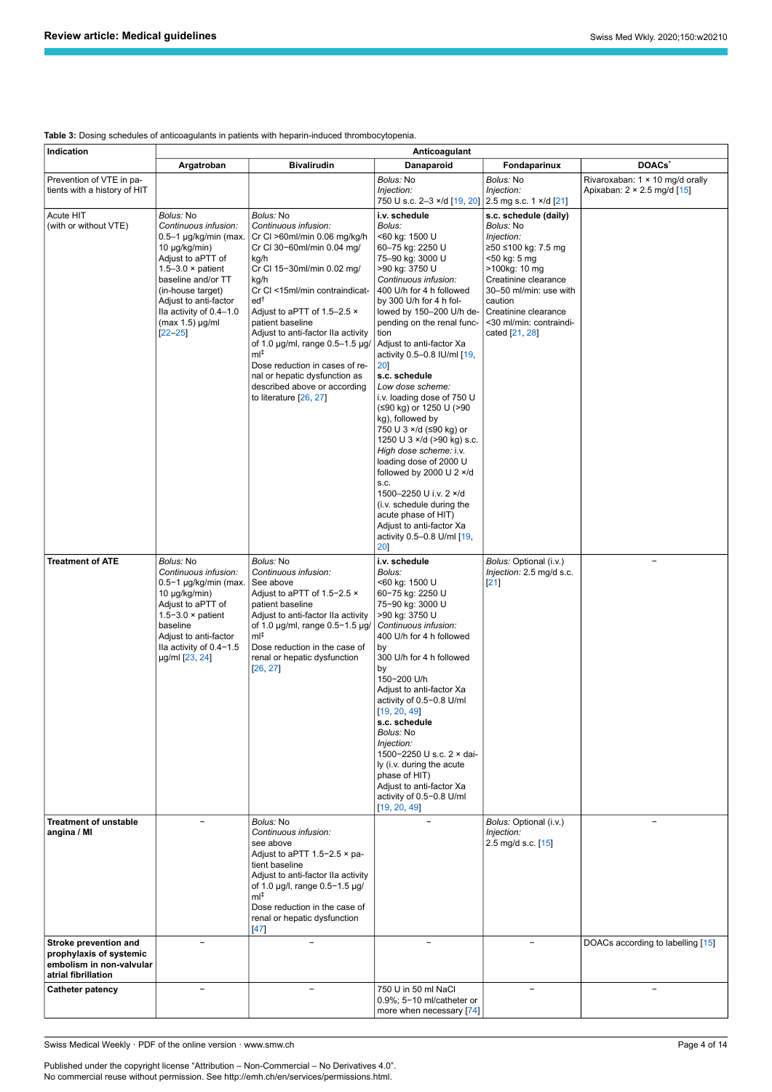<span id="page-3-0"></span>

|  | <b>Table 3:</b> Dosing schedules of anticoagulants in patients with heparin-induced thrombocytopenia. |  |  |
|--|-------------------------------------------------------------------------------------------------------|--|--|
|  |                                                                                                       |  |  |

| Indication                                                                                          | Anticoagulant                                                                                                                                                                                                                                                 |                                                                                                                                                                                                                                                                                                                                                                                                                                                                                             |                                                                                                                                                                                                                                                                                                                                                                                                                                                                                                                                                                                                                                                                                                                                          |                                                                                                                                                                                                                                                   |                                                                                     |
|-----------------------------------------------------------------------------------------------------|---------------------------------------------------------------------------------------------------------------------------------------------------------------------------------------------------------------------------------------------------------------|---------------------------------------------------------------------------------------------------------------------------------------------------------------------------------------------------------------------------------------------------------------------------------------------------------------------------------------------------------------------------------------------------------------------------------------------------------------------------------------------|------------------------------------------------------------------------------------------------------------------------------------------------------------------------------------------------------------------------------------------------------------------------------------------------------------------------------------------------------------------------------------------------------------------------------------------------------------------------------------------------------------------------------------------------------------------------------------------------------------------------------------------------------------------------------------------------------------------------------------------|---------------------------------------------------------------------------------------------------------------------------------------------------------------------------------------------------------------------------------------------------|-------------------------------------------------------------------------------------|
|                                                                                                     | Argatroban                                                                                                                                                                                                                                                    | <b>Bivalirudin</b>                                                                                                                                                                                                                                                                                                                                                                                                                                                                          | Danaparoid                                                                                                                                                                                                                                                                                                                                                                                                                                                                                                                                                                                                                                                                                                                               | Fondaparinux                                                                                                                                                                                                                                      | <b>DOACs</b>                                                                        |
| Prevention of VTE in pa-<br>tients with a history of HIT                                            |                                                                                                                                                                                                                                                               |                                                                                                                                                                                                                                                                                                                                                                                                                                                                                             | Bolus: No<br>Injection:<br>750 U s.c. 2-3 ×/d [19, 20] 2.5 mg s.c. 1 ×/d [21]                                                                                                                                                                                                                                                                                                                                                                                                                                                                                                                                                                                                                                                            | <i>Bolus:</i> No<br>Injection:                                                                                                                                                                                                                    | Rivaroxaban: 1 × 10 mg/d orally<br>Apixaban: $2 \times 2.5$ mg/d $\lceil 15 \rceil$ |
| Acute HIT<br>(with or without VTE)                                                                  | Bolus: No<br>Continuous infusion:<br>0.5–1 µg/kg/min (max.<br>10 µg/kg/min)<br>Adjust to aPTT of<br>1.5-3.0 $\times$ patient<br>baseline and/or TT<br>(in-house target)<br>Adjust to anti-factor<br>Ila activity of 0.4-1.0<br>(max 1.5) µg/ml<br>$[22 - 25]$ | Bolus: No<br>Continuous infusion:<br>Cr Cl $>60$ ml/min 0.06 mg/kg/h<br>Cr Cl 30-60ml/min 0.04 mg/<br>kg/h<br>Cr Cl 15-30ml/min 0.02 mg/<br>kg/h<br>Cr Cl <15ml/min contraindicat-<br>ed <sup>†</sup><br>Adjust to aPTT of 1.5-2.5 x<br>patient baseline<br>Adjust to anti-factor IIa activity<br>of 1.0 $\mu$ g/ml, range 0.5-1.5 $\mu$ g/<br>$ml^{\ddagger}$<br>Dose reduction in cases of re-<br>nal or hepatic dysfunction as<br>described above or according<br>to literature [26, 27] | i.v. schedule<br>Bolus:<br><60 kg: 1500 U<br>60-75 kg: 2250 U<br>75-90 kg: 3000 U<br>>90 kg: 3750 U<br>Continuous infusion:<br>400 U/h for 4 h followed<br>by 300 U/h for 4 h fol-<br>lowed by 150-200 U/h de-<br>pending on the renal func-<br>tion<br>Adjust to anti-factor Xa<br>activity 0.5-0.8 IU/ml [19,<br>20]<br>s.c. schedule<br>Low dose scheme:<br>i.v. loading dose of 750 U<br>(≤90 kg) or 1250 U (>90<br>kg), followed by<br>750 U 3 ×/d (≤90 kg) or<br>1250 U 3 ×/d (>90 kg) s.c.<br>High dose scheme: i.v.<br>loading dose of 2000 U<br>followed by 2000 U 2 ×/d<br>S.C.<br>1500-2250 U i.v. 2 ×/d<br>(i.v. schedule during the<br>acute phase of HIT)<br>Adjust to anti-factor Xa<br>activity 0.5-0.8 U/ml [19,<br>20] | s.c. schedule (daily)<br><i>Bolus:</i> No<br>Injection:<br>≥50 ≤100 kg: 7.5 mg<br><50 kg: 5 mg<br>>100kg: 10 mg<br>Creatinine clearance<br>30-50 ml/min: use with<br>caution<br>Creatinine clearance<br><30 ml/min: contraindi-<br>cated [21, 28] |                                                                                     |
| <b>Treatment of ATE</b>                                                                             | Bolus: No<br>Continuous infusion:<br>0.5−1 µg/kg/min (max.<br>10 µg/kg/min)<br>Adjust to aPTT of<br>$1.5 - 3.0 \times$ patient<br>baseline<br>Adjust to anti-factor<br>Ila activity of 0.4-1.5<br>µg/ml [23, 24]                                              | Bolus: No<br>Continuous infusion:<br>See above<br>Adjust to aPTT of 1.5-2.5 $\times$<br>patient baseline<br>Adjust to anti-factor IIa activity<br>of 1.0 µg/ml, range 0.5-1.5 µg/<br>$ml^{\ddagger}$<br>Dose reduction in the case of<br>renal or hepatic dysfunction<br>[26, 27]                                                                                                                                                                                                           | i.v. schedule<br>Bolus:<br><60 kg: 1500 U<br>60-75 kg: 2250 U<br>75-90 kg: 3000 U<br>>90 kg: 3750 U<br>Continuous infusion:<br>400 U/h for 4 h followed<br>by<br>300 U/h for 4 h followed<br>by<br>150-200 U/h<br>Adjust to anti-factor Xa<br>activity of 0.5-0.8 U/ml<br>[19, 20, 49]<br>s.c. schedule<br>Bolus: No<br>Injection:<br>1500-2250 U s.c. 2 × dai-<br>ly (i.v. during the acute<br>phase of HIT)<br>Adjust to anti-factor Xa<br>activity of 0.5-0.8 U/ml<br>[19, 20, 49]                                                                                                                                                                                                                                                    | Bolus: Optional (i.v.)<br>Injection: 2.5 mg/d s.c.<br>[21]                                                                                                                                                                                        |                                                                                     |
| <b>Treatment of unstable</b><br>angina / MI                                                         | Ξ.                                                                                                                                                                                                                                                            | Bolus: No<br>Continuous infusion:<br>see above<br>Adjust to aPTT 1.5-2.5 $\times$ pa-<br>tient baseline<br>Adjust to anti-factor IIa activity<br>of 1.0 µg/l, range 0.5-1.5 µg/<br>$ml^{\ddagger}$<br>Dose reduction in the case of<br>renal or hepatic dysfunction<br>$[47]$                                                                                                                                                                                                               |                                                                                                                                                                                                                                                                                                                                                                                                                                                                                                                                                                                                                                                                                                                                          | Bolus: Optional (i.v.)<br>Injection:<br>2.5 mg/d s.c. [15]                                                                                                                                                                                        |                                                                                     |
| Stroke prevention and<br>prophylaxis of systemic<br>embolism in non-valvular<br>atrial fibrillation | $\equiv$                                                                                                                                                                                                                                                      | $\overline{\phantom{a}}$                                                                                                                                                                                                                                                                                                                                                                                                                                                                    | $\overline{\phantom{0}}$                                                                                                                                                                                                                                                                                                                                                                                                                                                                                                                                                                                                                                                                                                                 | $\equiv$                                                                                                                                                                                                                                          | DOACs according to labelling [15]                                                   |
| <b>Catheter patency</b>                                                                             | $\overline{\phantom{0}}$                                                                                                                                                                                                                                      | $\overline{\phantom{m}}$                                                                                                                                                                                                                                                                                                                                                                                                                                                                    | 750 U in 50 ml NaCl<br>0.9%; 5-10 ml/catheter or<br>more when necessary [74]                                                                                                                                                                                                                                                                                                                                                                                                                                                                                                                                                                                                                                                             | $\overline{\phantom{0}}$                                                                                                                                                                                                                          |                                                                                     |

Swiss Medical Weekly · PDF of the online version · www.smw.ch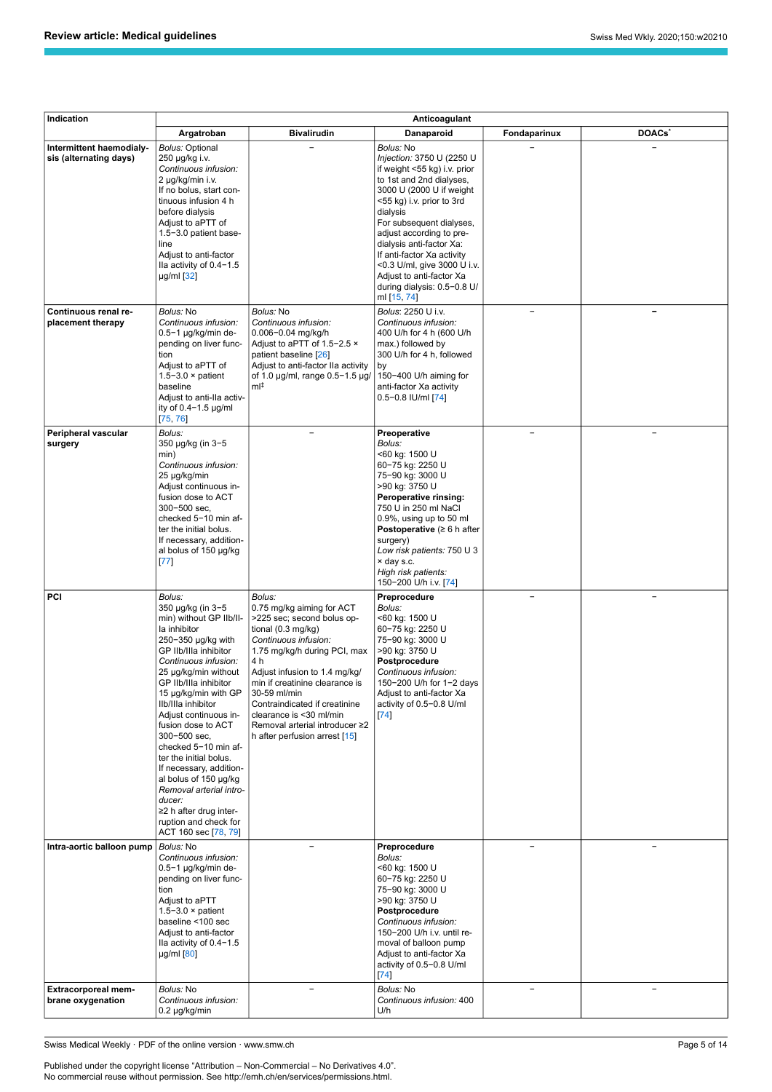| Indication                                              | Anticoagulant                                                                                                                                                                                                                                                                                                                                                                                                                                                                                                                     |                                                                                                                                                                                                                                                                                                                                                                                    |                                                                                                                                                                                                                                                                                                                                                                                                    |                          |                          |
|---------------------------------------------------------|-----------------------------------------------------------------------------------------------------------------------------------------------------------------------------------------------------------------------------------------------------------------------------------------------------------------------------------------------------------------------------------------------------------------------------------------------------------------------------------------------------------------------------------|------------------------------------------------------------------------------------------------------------------------------------------------------------------------------------------------------------------------------------------------------------------------------------------------------------------------------------------------------------------------------------|----------------------------------------------------------------------------------------------------------------------------------------------------------------------------------------------------------------------------------------------------------------------------------------------------------------------------------------------------------------------------------------------------|--------------------------|--------------------------|
|                                                         | Argatroban                                                                                                                                                                                                                                                                                                                                                                                                                                                                                                                        | <b>Bivalirudin</b>                                                                                                                                                                                                                                                                                                                                                                 | Danaparoid                                                                                                                                                                                                                                                                                                                                                                                         | Fondaparinux             | DOACs <sup>*</sup>       |
| Intermittent haemodialy-<br>sis (alternating days)      | Bolus: Optional<br>250 µg/kg i.v.<br>Continuous infusion:<br>2 µg/kg/min i.v.<br>If no bolus, start con-<br>tinuous infusion 4 h<br>before dialysis<br>Adjust to aPTT of<br>1.5-3.0 patient base-<br>line<br>Adjust to anti-factor<br>Ila activity of 0.4-1.5<br>µg/ml [32]                                                                                                                                                                                                                                                       |                                                                                                                                                                                                                                                                                                                                                                                    | Bolus: No<br>Injection: 3750 U (2250 U<br>if weight <55 kg) i.v. prior<br>to 1st and 2nd dialyses,<br>3000 U (2000 U if weight<br><55 kg) i.v. prior to 3rd<br>dialysis<br>For subsequent dialyses,<br>adjust according to pre-<br>dialysis anti-factor Xa:<br>If anti-factor Xa activity<br><0.3 U/ml, give 3000 U i.v.<br>Adjust to anti-factor Xa<br>during dialysis: 0.5−0.8 U/<br>ml [15, 74] |                          |                          |
| Continuous renal re-<br>placement therapy               | <i>Bolus:</i> No<br>Continuous infusion:<br>0.5−1 µg/kg/min de-<br>pending on liver func-<br>tion<br>Adjust to aPTT of<br>$1.5 - 3.0 \times$ patient<br>baseline<br>Adjust to anti-IIa activ-<br>ity of 0.4-1.5 µg/ml<br>[75, 76]                                                                                                                                                                                                                                                                                                 | Bolus: No<br>Continuous infusion:<br>0.006-0.04 mg/kg/h<br>Adjust to aPTT of 1.5-2.5 x<br>patient baseline [26]<br>Adjust to anti-factor IIa activity<br>of 1.0 µg/ml, range 0.5-1.5 µg/<br>ml‡                                                                                                                                                                                    | Bolus: 2250 U i.v.<br>Continuous infusion:<br>400 U/h for 4 h (600 U/h<br>max.) followed by<br>300 U/h for 4 h, followed<br>by<br>150-400 U/h aiming for<br>anti-factor Xa activity<br>0.5−0.8 IU/ml [74]                                                                                                                                                                                          | $\overline{\phantom{a}}$ |                          |
| Peripheral vascular<br>surgery                          | Bolus:<br>350 µg/kg (in 3-5<br>min)<br>Continuous infusion:<br>25 µg/kg/min<br>Adjust continuous in-<br>fusion dose to ACT<br>300-500 sec.<br>checked 5-10 min af-<br>ter the initial bolus.<br>If necessary, addition-<br>al bolus of 150 µg/kg<br>[77]                                                                                                                                                                                                                                                                          |                                                                                                                                                                                                                                                                                                                                                                                    | Preoperative<br>Bolus:<br><60 kg: 1500 U<br>60-75 kg: 2250 U<br>75-90 kg: 3000 U<br>>90 kg: 3750 U<br>Peroperative rinsing:<br>750 U in 250 ml NaCl<br>0.9%, using up to 50 ml<br><b>Postoperative</b> ( $\geq 6$ h after<br>surgery)<br>Low risk patients: 750 U 3<br>× day s.c.<br>High risk patients:<br>150-200 U/h i.v. [74]                                                                  | ÷,                       |                          |
| PCI                                                     | Bolus:<br>350 µg/kg (in 3−5<br>min) without GP IIb/II-<br>la inhibitor<br>250−350 µg/kg with<br>GP IIb/IIIa inhibitor<br>Continuous infusion:<br>25 µg/kg/min without<br>GP IIb/IIIa inhibitor<br>15 µg/kg/min with GP<br>Ilb/Illa inhibitor<br>Adjust continuous in-<br>fusion dose to ACT<br>300-500 sec,<br>checked 5-10 min af-<br>ter the initial bolus.<br>If necessary, addition-<br>al bolus of 150 µg/kg<br>Removal arterial intro-<br>ducer:<br>≥2 h after drug inter-<br>ruption and check for<br>ACT 160 sec [78, 79] | Bolus:<br>0.75 mg/kg aiming for ACT<br>>225 sec; second bolus op-<br>tional $(0.3 \text{ mg/kg})$<br>Continuous infusion:<br>1.75 mg/kg/h during PCI, max<br>4 h<br>Adjust infusion to 1.4 mg/kg/<br>min if creatinine clearance is<br>30-59 ml/min<br>Contraindicated if creatinine<br>clearance is <30 ml/min<br>Removal arterial introducer ≥2<br>h after perfusion arrest [15] | Preprocedure<br>Bolus:<br><60 kg: 1500 U<br>60-75 kg: 2250 U<br>75-90 kg: 3000 U<br>>90 kg: 3750 U<br>Postprocedure<br>Continuous infusion:<br>150-200 U/h for 1-2 days<br>Adjust to anti-factor Xa<br>activity of 0.5-0.8 U/ml<br>[74]                                                                                                                                                            |                          |                          |
| Intra-aortic balloon pump<br><b>Extracorporeal mem-</b> | Bolus: No<br>Continuous infusion:<br>$0.5-1$ µg/kg/min de-<br>pending on liver func-<br>tion<br>Adjust to aPTT<br>$1.5 - 3.0 \times$ patient<br>baseline <100 sec<br>Adjust to anti-factor<br>Ila activity of 0.4-1.5<br>µg/ml [80]<br>Bolus: No                                                                                                                                                                                                                                                                                  | $\overline{\phantom{0}}$                                                                                                                                                                                                                                                                                                                                                           | Preprocedure<br>Bolus:<br><60 kg: 1500 U<br>60-75 kg: 2250 U<br>75-90 kg: 3000 U<br>>90 kg: 3750 U<br>Postprocedure<br>Continuous infusion:<br>150-200 U/h i.v. until re-<br>moval of balloon pump<br>Adjust to anti-factor Xa<br>activity of 0.5-0.8 U/ml<br>[74]<br>Bolus: No                                                                                                                    | $\overline{\phantom{0}}$ | $\overline{\phantom{m}}$ |
| brane oxygenation                                       | Continuous infusion:<br>0.2 µg/kg/min                                                                                                                                                                                                                                                                                                                                                                                                                                                                                             |                                                                                                                                                                                                                                                                                                                                                                                    | Continuous infusion: 400<br>U/h                                                                                                                                                                                                                                                                                                                                                                    |                          |                          |

Swiss Medical Weekly · PDF of the online version · www.smw.ch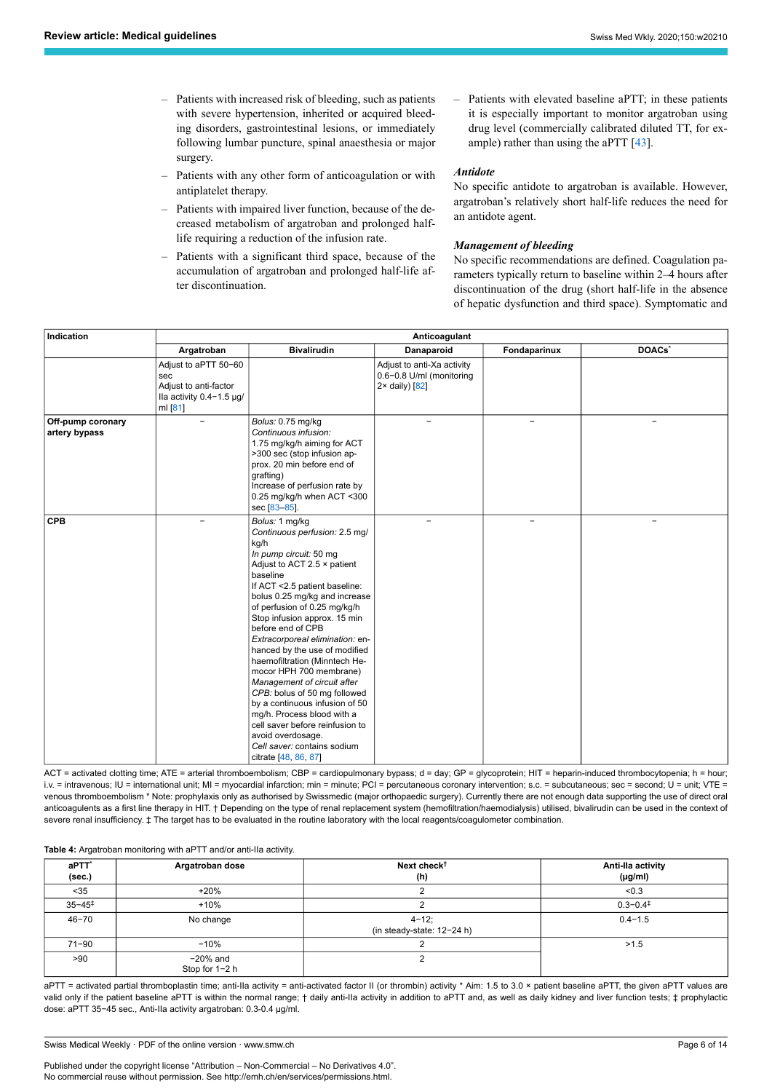- Patients with increased risk of bleeding, such as patients with severe hypertension, inherited or acquired bleeding disorders, gastrointestinal lesions, or immediately following lumbar puncture, spinal anaesthesia or major surgery.
- Patients with any other form of anticoagulation or with antiplatelet therapy.
- Patients with impaired liver function, because of the decreased metabolism of argatroban and prolonged halflife requiring a reduction of the infusion rate.
- Patients with a significant third space, because of the accumulation of argatroban and prolonged half-life after discontinuation.
- Patients with elevated baseline aPTT; in these patients it is especially important to monitor argatroban using drug level (commercially calibrated diluted TT, for ex-ample) rather than using the aPTT [[43\]](#page-12-10).

# *Antidote*

No specific antidote to argatroban is available. However, argatroban's relatively short half-life reduces the need for an antidote agent.

# *Management of bleeding*

No specific recommendations are defined. Coagulation parameters typically return to baseline within 2–4 hours after discontinuation of the drug (short half-life in the absence of hepatic dysfunction and third space). Symptomatic and

| Indication                         | Anticoagulant                                                                                   |                                                                                                                                                                                                                                                                                                                                                                                                                                                                                                                                                                                                                                                                   |                                                                                    |              |                    |
|------------------------------------|-------------------------------------------------------------------------------------------------|-------------------------------------------------------------------------------------------------------------------------------------------------------------------------------------------------------------------------------------------------------------------------------------------------------------------------------------------------------------------------------------------------------------------------------------------------------------------------------------------------------------------------------------------------------------------------------------------------------------------------------------------------------------------|------------------------------------------------------------------------------------|--------------|--------------------|
|                                    | Argatroban                                                                                      | <b>Bivalirudin</b>                                                                                                                                                                                                                                                                                                                                                                                                                                                                                                                                                                                                                                                | Danaparoid                                                                         | Fondaparinux | DOACs <sup>*</sup> |
|                                    | Adjust to aPTT 50-60<br>sec<br>Adjust to anti-factor<br>Ila activity $0.4 - 1.5$ µg/<br>ml [81] |                                                                                                                                                                                                                                                                                                                                                                                                                                                                                                                                                                                                                                                                   | Adjust to anti-Xa activity<br>0.6-0.8 U/ml (monitoring<br>$2 \times$ daily) $[82]$ |              |                    |
| Off-pump coronary<br>artery bypass |                                                                                                 | Bolus: 0.75 mg/kg<br>Continuous infusion:<br>1.75 mg/kg/h aiming for ACT<br>>300 sec (stop infusion ap-<br>prox. 20 min before end of<br>grafting)<br>Increase of perfusion rate by<br>0.25 mg/kg/h when ACT <300<br>sec [83-85].                                                                                                                                                                                                                                                                                                                                                                                                                                 |                                                                                    |              |                    |
| <b>CPB</b>                         |                                                                                                 | Bolus: 1 mg/kg<br>Continuous perfusion: 2.5 mg/<br>kg/h<br>In pump circuit: 50 mg<br>Adjust to ACT 2.5 x patient<br>baseline<br>If ACT <2.5 patient baseline:<br>bolus 0.25 mg/kg and increase<br>of perfusion of 0.25 mg/kg/h<br>Stop infusion approx. 15 min<br>before end of CPB<br>Extracorporeal elimination: en-<br>hanced by the use of modified<br>haemofiltration (Minntech He-<br>mocor HPH 700 membrane)<br>Management of circuit after<br>CPB: bolus of 50 mg followed<br>by a continuous infusion of 50<br>mg/h. Process blood with a<br>cell saver before reinfusion to<br>avoid overdosage.<br>Cell saver: contains sodium<br>citrate [48, 86, 87] |                                                                                    | ÷            |                    |

ACT = activated clotting time; ATE = arterial thromboembolism; CBP = cardiopulmonary bypass; d = day; GP = glycoprotein; HIT = heparin-induced thrombocytopenia; h = hour; i.v. = intravenous; IU = international unit; MI = myocardial infarction; min = minute; PCI = percutaneous coronary intervention; s.c. = subcutaneous; sec = second; U = unit; VTE = venous thromboembolism \* Note: prophylaxis only as authorised by Swissmedic (major orthopaedic surgery). Currently there are not enough data supporting the use of direct oral anticoagulents as a first line therapy in HIT. † Depending on the type of renal replacement system (hemofiltration/haemodialysis) utilised, bivalirudin can be used in the context of severe renal insufficiency.  $\pm$  The target has to be evaluated in the routine laboratory with the local reagents/coagulometer combination.

<span id="page-5-0"></span>**Table 4:** Argatroban monitoring with aPTT and/or anti-IIa activity.

| aPTT <sup>*</sup><br>(sec.) | Argatroban dose               | Next check <sup>t</sup><br>(h)             | Anti-lla activity<br>$(\mu g/ml)$ |
|-----------------------------|-------------------------------|--------------------------------------------|-----------------------------------|
| $35$                        | $+20%$                        |                                            | < 0.3                             |
| $35 - 45^{\ddagger}$        | $+10%$                        |                                            | $0.3 - 0.4^{\ddagger}$            |
| $46 - 70$                   | No change                     | $4 - 12$ ;<br>(in steady-state: $12-24$ h) | $0.4 - 1.5$                       |
| $71 - 90$                   | $-10%$                        |                                            | >1.5                              |
| >90                         | $-20\%$ and<br>Stop for 1-2 h |                                            |                                   |

aPTT = activated partial thromboplastin time; anti-Ila activity = anti-activated factor II (or thrombin) activity \* Aim: 1.5 to 3.0 × patient baseline aPTT, the given aPTT values are valid only if the patient baseline aPTT is within the normal range; † daily anti-Ila activity in addition to aPTT and, as well as daily kidney and liver function tests; ‡ prophylactic dose: aPTT 35−45 sec., Anti-IIa activity argatroban: 0.3-0.4 µg/ml.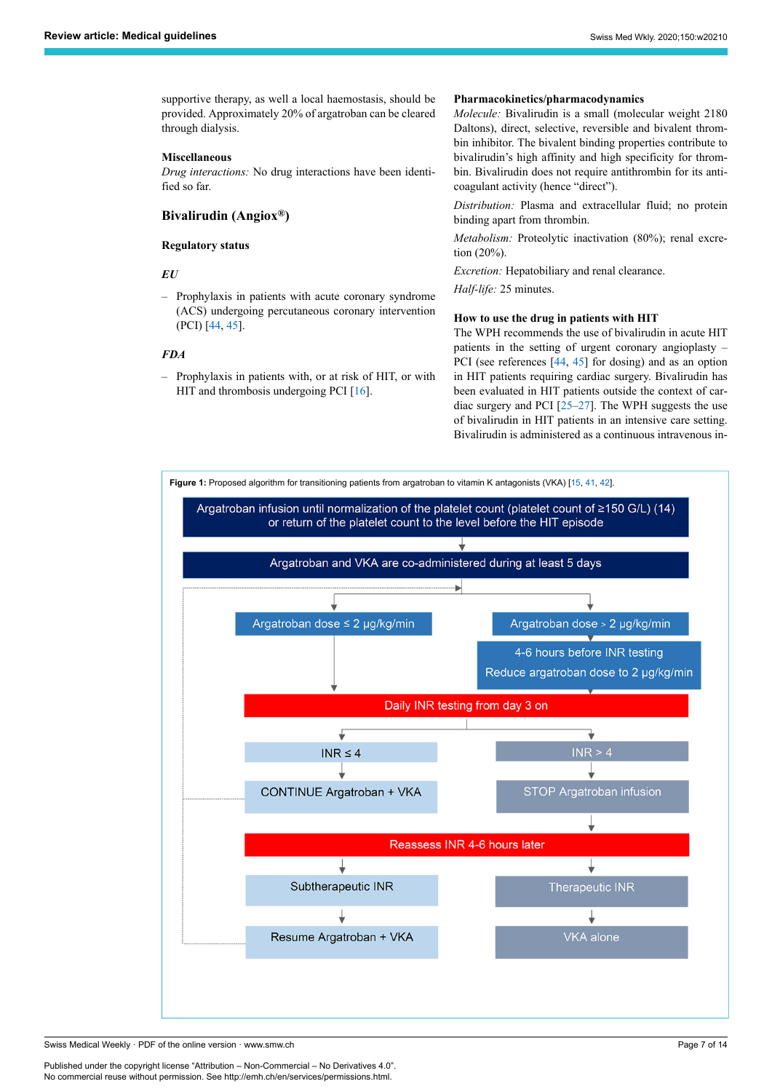supportive therapy, as well a local haemostasis, should be provided. Approximately 20% of argatroban can be cleared through dialysis.

# **Miscellaneous**

*Drug interactions:* No drug interactions have been identified so far.

# **Bivalirudin (Angiox®)**

#### **Regulatory status**

# *EU*

– Prophylaxis in patients with acute coronary syndrome (ACS) undergoing percutaneous coronary intervention (PCI) [\[44](#page-12-12), [45\]](#page-12-13).

# *FDA*

– Prophylaxis in patients with, or at risk of HIT, or with HIT and thrombosis undergoing PCI [\[16](#page-11-14)].

#### **Pharmacokinetics/pharmacodynamics**

*Molecule:* Bivalirudin is a small (molecular weight 2180 Daltons), direct, selective, reversible and bivalent thrombin inhibitor. The bivalent binding properties contribute to bivalirudin's high affinity and high specificity for thrombin. Bivalirudin does not require antithrombin for its anticoagulant activity (hence "direct").

*Distribution:* Plasma and extracellular fluid; no protein binding apart from thrombin.

*Metabolism:* Proteolytic inactivation (80%); renal excretion (20%).

*Excretion:* Hepatobiliary and renal clearance.

*Half-life:* 25 minutes.

# **How to use the drug in patients with HIT**

The WPH recommends the use of bivalirudin in acute HIT patients in the setting of urgent coronary angioplasty – PCI (see references  $[44, 45]$  $[44, 45]$  $[44, 45]$  $[44, 45]$  for dosing) and as an option in HIT patients requiring cardiac surgery. Bivalirudin has been evaluated in HIT patients outside the context of cardiac surgery and PCI [[25–](#page-11-25)[27](#page-11-30)]. The WPH suggests the use of bivalirudin in HIT patients in an intensive care setting. Bivalirudin is administered as a continuous intravenous in-

<span id="page-6-0"></span>

Swiss Medical Weekly · PDF of the online version · www.smw.ch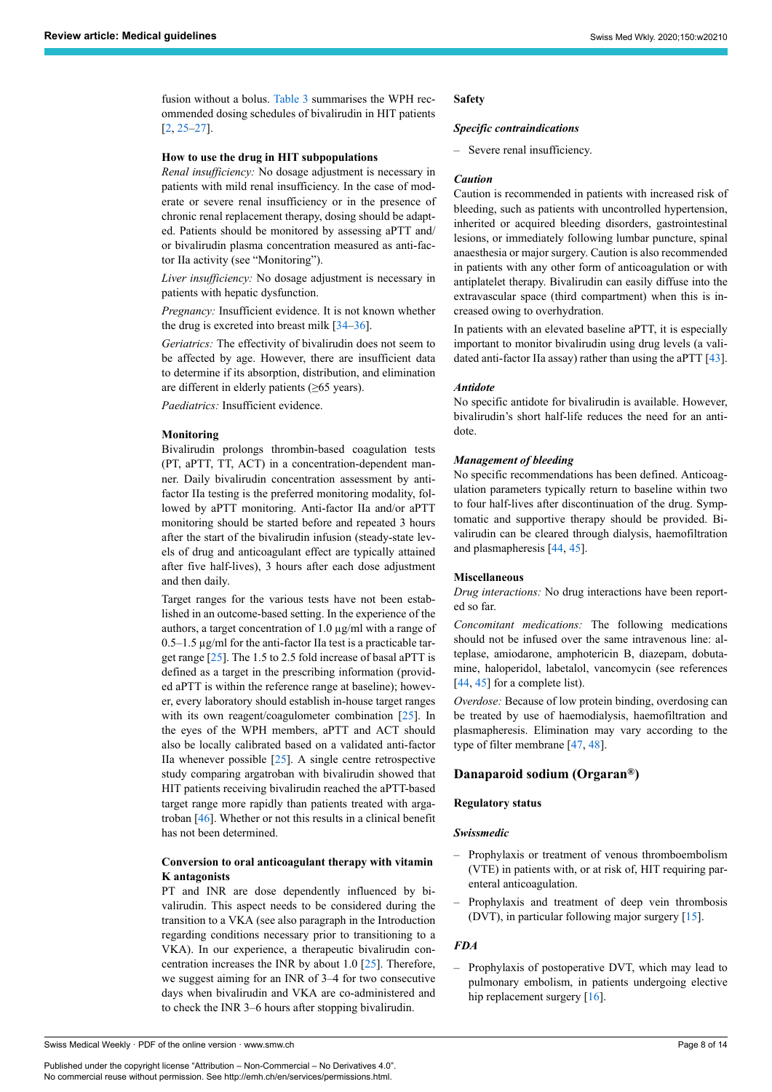fusion without a bolus. [Table 3](#page-3-0) summarises the WPH recommended dosing schedules of bivalirudin in HIT patients [[2](#page-11-1), [25–](#page-11-25)[27](#page-11-30)].

# **How to use the drug in HIT subpopulations**

*Renal insufficiency:* No dosage adjustment is necessary in patients with mild renal insufficiency. In the case of moderate or severe renal insufficiency or in the presence of chronic renal replacement therapy, dosing should be adapted. Patients should be monitored by assessing aPTT and/ or bivalirudin plasma concentration measured as anti-factor IIa activity (see "Monitoring").

*Liver insufficiency:* No dosage adjustment is necessary in patients with hepatic dysfunction.

*Pregnancy:* Insufficient evidence. It is not known whether the drug is excreted into breast milk  $[34-36]$  $[34-36]$  $[34-36]$ .

*Geriatrics:* The effectivity of bivalirudin does not seem to be affected by age. However, there are insufficient data to determine if its absorption, distribution, and elimination are different in elderly patients (≥65 years).

*Paediatrics:* Insufficient evidence.

# **Monitoring**

Bivalirudin prolongs thrombin-based coagulation tests (PT, aPTT, TT, ACT) in a concentration-dependent manner. Daily bivalirudin concentration assessment by antifactor IIa testing is the preferred monitoring modality, followed by aPTT monitoring. Anti-factor IIa and/or aPTT monitoring should be started before and repeated 3 hours after the start of the bivalirudin infusion (steady-state levels of drug and anticoagulant effect are typically attained after five half-lives), 3 hours after each dose adjustment and then daily.

Target ranges for the various tests have not been established in an outcome-based setting. In the experience of the authors, a target concentration of 1.0 µg/ml with a range of 0.5–1.5 µg/ml for the anti-factor IIa test is a practicable target range  $[25]$  $[25]$ . The 1.5 to 2.5 fold increase of basal aPTT is defined as a target in the prescribing information (provided aPTT is within the reference range at baseline); however, every laboratory should establish in-house target ranges with its own reagent/coagulometer combination [\[25](#page-11-25)]. In the eyes of the WPH members, aPTT and ACT should also be locally calibrated based on a validated anti-factor IIa whenever possible [\[25](#page-11-25)]. A single centre retrospective study comparing argatroban with bivalirudin showed that HIT patients receiving bivalirudin reached the aPTT-based target range more rapidly than patients treated with argatroban [[46\]](#page-12-14). Whether or not this results in a clinical benefit has not been determined.

# **Conversion to oral anticoagulant therapy with vitamin K antagonists**

PT and INR are dose dependently influenced by bivalirudin. This aspect needs to be considered during the transition to a VKA (see also paragraph in the Introduction regarding conditions necessary prior to transitioning to a VKA). In our experience, a therapeutic bivalirudin concentration increases the INR by about 1.0 [\[25](#page-11-25)]. Therefore, we suggest aiming for an INR of 3–4 for two consecutive days when bivalirudin and VKA are co-administered and to check the INR 3–6 hours after stopping bivalirudin.

#### **Safety**

#### *Specific contraindications*

– Severe renal insufficiency.

#### *Caution*

Caution is recommended in patients with increased risk of bleeding, such as patients with uncontrolled hypertension, inherited or acquired bleeding disorders, gastrointestinal lesions, or immediately following lumbar puncture, spinal anaesthesia or major surgery. Caution is also recommended in patients with any other form of anticoagulation or with antiplatelet therapy. Bivalirudin can easily diffuse into the extravascular space (third compartment) when this is increased owing to overhydration.

In patients with an elevated baseline aPTT, it is especially important to monitor bivalirudin using drug levels (a validated anti-factor IIa assay) rather than using the aPTT [\[43](#page-12-10)].

#### *Antidote*

No specific antidote for bivalirudin is available. However, bivalirudin's short half-life reduces the need for an antidote.

#### *Management of bleeding*

No specific recommendations has been defined. Anticoagulation parameters typically return to baseline within two to four half-lives after discontinuation of the drug. Symptomatic and supportive therapy should be provided. Bivalirudin can be cleared through dialysis, haemofiltration and plasmapheresis [[44,](#page-12-12) [45](#page-12-13)].

#### **Miscellaneous**

*Drug interactions:* No drug interactions have been reported so far.

*Concomitant medications:* The following medications should not be infused over the same intravenous line: alteplase, amiodarone, amphotericin B, diazepam, dobutamine, haloperidol, labetalol, vancomycin (see references [\[44](#page-12-12), [45\]](#page-12-13) for a complete list).

*Overdose:* Because of low protein binding, overdosing can be treated by use of haemodialysis, haemofiltration and plasmapheresis. Elimination may vary according to the type of filter membrane [[47,](#page-12-9) [48](#page-12-11)].

# **Danaparoid sodium (Orgaran®)**

# **Regulatory status**

#### *Swissmedic*

- Prophylaxis or treatment of venous thromboembolism (VTE) in patients with, or at risk of, HIT requiring parenteral anticoagulation.
- Prophylaxis and treatment of deep vein thrombosis (DVT), in particular following major surgery [[15\]](#page-11-13).

#### *FDA*

– Prophylaxis of postoperative DVT, which may lead to pulmonary embolism, in patients undergoing elective hip replacement surgery [\[16](#page-11-14)].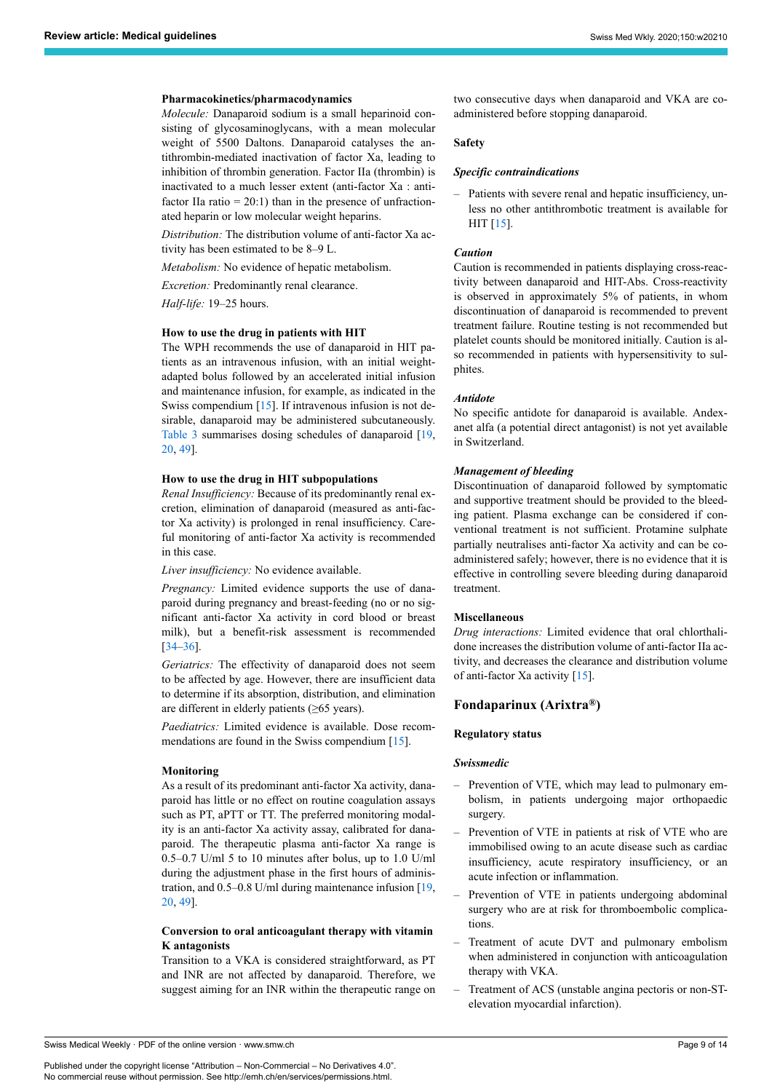#### **Pharmacokinetics/pharmacodynamics**

*Molecule:* Danaparoid sodium is a small heparinoid consisting of glycosaminoglycans, with a mean molecular weight of 5500 Daltons. Danaparoid catalyses the antithrombin-mediated inactivation of factor Xa, leading to inhibition of thrombin generation. Factor IIa (thrombin) is inactivated to a much lesser extent (anti-factor Xa : antifactor IIa ratio  $= 20:1$ ) than in the presence of unfractionated heparin or low molecular weight heparins.

*Distribution:* The distribution volume of anti-factor Xa activity has been estimated to be 8–9 L.

*Metabolism:* No evidence of hepatic metabolism.

*Excretion:* Predominantly renal clearance.

*Half-life:* 19–25 hours.

#### **How to use the drug in patients with HIT**

The WPH recommends the use of danaparoid in HIT patients as an intravenous infusion, with an initial weightadapted bolus followed by an accelerated initial infusion and maintenance infusion, for example, as indicated in the Swiss compendium  $[15]$  $[15]$ . If intravenous infusion is not desirable, danaparoid may be administered subcutaneously. [Table 3](#page-3-0) summarises dosing schedules of danaparoid [[19,](#page-11-26) [20,](#page-11-27) [49](#page-12-8)].

#### **How to use the drug in HIT subpopulations**

*Renal Insufficiency:* Because of its predominantly renal excretion, elimination of danaparoid (measured as anti-factor Xa activity) is prolonged in renal insufficiency. Careful monitoring of anti-factor Xa activity is recommended in this case.

*Liver insufficiency:* No evidence available.

*Pregnancy:* Limited evidence supports the use of danaparoid during pregnancy and breast-feeding (no or no significant anti-factor Xa activity in cord blood or breast milk), but a benefit-risk assessment is recommended [[34–](#page-12-0)[36](#page-12-1)].

*Geriatrics:* The effectivity of danaparoid does not seem to be affected by age. However, there are insufficient data to determine if its absorption, distribution, and elimination are different in elderly patients (≥65 years).

*Paediatrics:* Limited evidence is available. Dose recom-mendations are found in the Swiss compendium [[15\]](#page-11-13).

#### **Monitoring**

As a result of its predominant anti-factor Xa activity, danaparoid has little or no effect on routine coagulation assays such as PT, aPTT or TT. The preferred monitoring modality is an anti-factor Xa activity assay, calibrated for danaparoid. The therapeutic plasma anti-factor Xa range is 0.5–0.7 U/ml 5 to 10 minutes after bolus, up to 1.0 U/ml during the adjustment phase in the first hours of administration, and 0.5–0.8 U/ml during maintenance infusion [[19,](#page-11-26) [20,](#page-11-27) [49](#page-12-8)].

# **Conversion to oral anticoagulant therapy with vitamin K antagonists**

Transition to a VKA is considered straightforward, as PT and INR are not affected by danaparoid. Therefore, we suggest aiming for an INR within the therapeutic range on two consecutive days when danaparoid and VKA are coadministered before stopping danaparoid.

# **Safety**

#### *Specific contraindications*

– Patients with severe renal and hepatic insufficiency, unless no other antithrombotic treatment is available for HIT [[15\]](#page-11-13).

#### *Caution*

Caution is recommended in patients displaying cross-reactivity between danaparoid and HIT-Abs. Cross-reactivity is observed in approximately 5% of patients, in whom discontinuation of danaparoid is recommended to prevent treatment failure. Routine testing is not recommended but platelet counts should be monitored initially. Caution is also recommended in patients with hypersensitivity to sulphites.

#### *Antidote*

No specific antidote for danaparoid is available. Andexanet alfa (a potential direct antagonist) is not yet available in Switzerland.

#### *Management of bleeding*

Discontinuation of danaparoid followed by symptomatic and supportive treatment should be provided to the bleeding patient. Plasma exchange can be considered if conventional treatment is not sufficient. Protamine sulphate partially neutralises anti-factor Xa activity and can be coadministered safely; however, there is no evidence that it is effective in controlling severe bleeding during danaparoid treatment.

#### **Miscellaneous**

*Drug interactions:* Limited evidence that oral chlorthalidone increases the distribution volume of anti-factor IIa activity, and decreases the clearance and distribution volume of anti-factor Xa activity [[15\]](#page-11-13).

# **Fondaparinux (Arixtra®)**

#### **Regulatory status**

#### *Swissmedic*

- Prevention of VTE, which may lead to pulmonary embolism, in patients undergoing major orthopaedic surgery.
- Prevention of VTE in patients at risk of VTE who are immobilised owing to an acute disease such as cardiac insufficiency, acute respiratory insufficiency, or an acute infection or inflammation.
- Prevention of VTE in patients undergoing abdominal surgery who are at risk for thromboembolic complications.
- Treatment of acute DVT and pulmonary embolism when administered in conjunction with anticoagulation therapy with VKA.
- Treatment of ACS (unstable angina pectoris or non-STelevation myocardial infarction).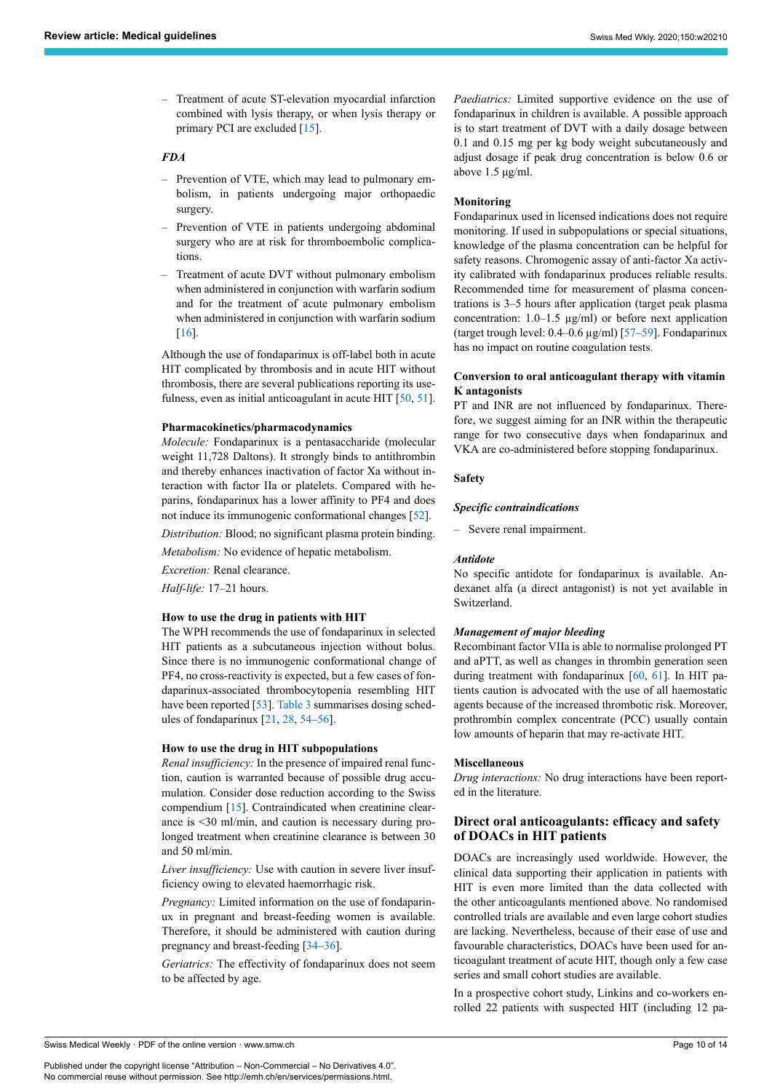– Treatment of acute ST-elevation myocardial infarction combined with lysis therapy, or when lysis therapy or primary PCI are excluded [[15](#page-11-13)].

# *FDA*

- Prevention of VTE, which may lead to pulmonary embolism, in patients undergoing major orthopaedic surgery.
- Prevention of VTE in patients undergoing abdominal surgery who are at risk for thromboembolic complications.
- Treatment of acute DVT without pulmonary embolism when administered in conjunction with warfarin sodium and for the treatment of acute pulmonary embolism when administered in conjunction with warfarin sodium [\[16](#page-11-14)].

Although the use of fondaparinux is off-label both in acute HIT complicated by thrombosis and in acute HIT without thrombosis, there are several publications reporting its use-fulness, even as initial anticoagulant in acute HIT [\[50](#page-12-15), [51\]](#page-12-16).

#### **Pharmacokinetics/pharmacodynamics**

*Molecule:* Fondaparinux is a pentasaccharide (molecular weight 11,728 Daltons). It strongly binds to antithrombin and thereby enhances inactivation of factor Xa without interaction with factor IIa or platelets. Compared with heparins, fondaparinux has a lower affinity to PF4 and does not induce its immunogenic conformational changes [[52\]](#page-12-17).

*Distribution:* Blood; no significant plasma protein binding.

*Metabolism:* No evidence of hepatic metabolism.

*Excretion:* Renal clearance.

*Half-life:* 17–21 hours.

#### **How to use the drug in patients with HIT**

The WPH recommends the use of fondaparinux in selected HIT patients as a subcutaneous injection without bolus. Since there is no immunogenic conformational change of PF4, no cross-reactivity is expected, but a few cases of fondaparinux-associated thrombocytopenia resembling HIT have been reported [[53\]](#page-12-18). [Table 3](#page-3-0) summarises dosing schedules of fondaparinux  $[21, 28, 54-56]$  $[21, 28, 54-56]$  $[21, 28, 54-56]$  $[21, 28, 54-56]$  $[21, 28, 54-56]$  $[21, 28, 54-56]$  $[21, 28, 54-56]$ .

#### **How to use the drug in HIT subpopulations**

*Renal insufficiency:* In the presence of impaired renal function, caution is warranted because of possible drug accumulation. Consider dose reduction according to the Swiss compendium [[15\]](#page-11-13). Contraindicated when creatinine clearance is <30 ml/min, and caution is necessary during prolonged treatment when creatinine clearance is between 30 and 50 ml/min.

*Liver insufficiency:* Use with caution in severe liver insufficiency owing to elevated haemorrhagic risk.

*Pregnancy:* Limited information on the use of fondaparinux in pregnant and breast-feeding women is available. Therefore, it should be administered with caution during pregnancy and breast-feeding [\[34](#page-12-0)–[36\]](#page-12-1).

*Geriatrics:* The effectivity of fondaparinux does not seem to be affected by age.

*Paediatrics:* Limited supportive evidence on the use of fondaparinux in children is available. A possible approach is to start treatment of DVT with a daily dosage between 0.1 and 0.15 mg per kg body weight subcutaneously and adjust dosage if peak drug concentration is below 0.6 or above 1.5 μg/ml.

#### **Monitoring**

Fondaparinux used in licensed indications does not require monitoring. If used in subpopulations or special situations, knowledge of the plasma concentration can be helpful for safety reasons. Chromogenic assay of anti-factor Xa activity calibrated with fondaparinux produces reliable results. Recommended time for measurement of plasma concentrations is 3–5 hours after application (target peak plasma concentration: 1.0–1.5 µg/ml) or before next application (target trough level: 0.4–0.6 µg/ml) [[57–](#page-12-20)[59](#page-12-4)]. Fondaparinux has no impact on routine coagulation tests.

# **Conversion to oral anticoagulant therapy with vitamin K antagonists**

PT and INR are not influenced by fondaparinux. Therefore, we suggest aiming for an INR within the therapeutic range for two consecutive days when fondaparinux and VKA are co-administered before stopping fondaparinux.

#### **Safety**

#### *Specific contraindications*

– Severe renal impairment.

#### *Antidote*

No specific antidote for fondaparinux is available. Andexanet alfa (a direct antagonist) is not yet available in Switzerland.

#### *Management of major bleeding*

Recombinant factor VIIa is able to normalise prolonged PT and aPTT, as well as changes in thrombin generation seen during treatment with fondaparinux [\[60](#page-12-21), [61\]](#page-12-22). In HIT patients caution is advocated with the use of all haemostatic agents because of the increased thrombotic risk. Moreover, prothrombin complex concentrate (PCC) usually contain low amounts of heparin that may re-activate HIT.

#### **Miscellaneous**

*Drug interactions:* No drug interactions have been reported in the literature.

# **Direct oral anticoagulants: efficacy and safety of DOACs in HIT patients**

DOACs are increasingly used worldwide. However, the clinical data supporting their application in patients with HIT is even more limited than the data collected with the other anticoagulants mentioned above. No randomised controlled trials are available and even large cohort studies are lacking. Nevertheless, because of their ease of use and favourable characteristics, DOACs have been used for anticoagulant treatment of acute HIT, though only a few case series and small cohort studies are available.

In a prospective cohort study, Linkins and co-workers enrolled 22 patients with suspected HIT (including 12 pa-

Swiss Medical Weekly · PDF of the online version · www.smw.ch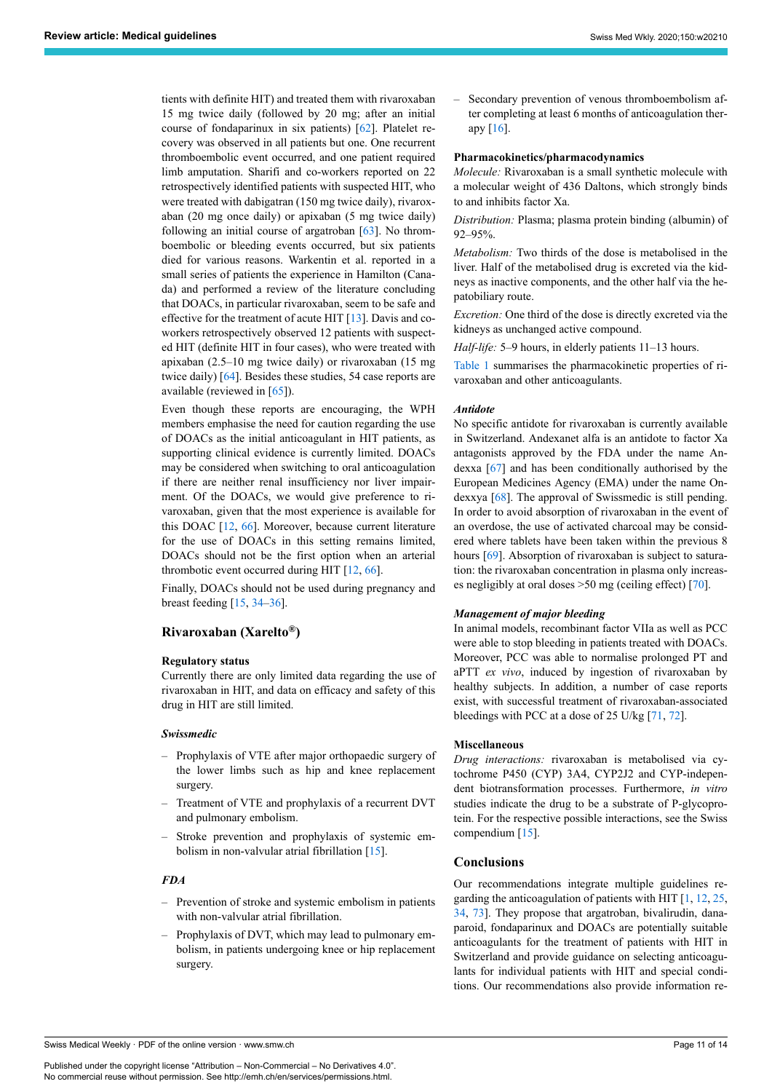tients with definite HIT) and treated them with rivaroxaban 15 mg twice daily (followed by 20 mg; after an initial course of fondaparinux in six patients) [\[62](#page-12-23)]. Platelet recovery was observed in all patients but one. One recurrent thromboembolic event occurred, and one patient required limb amputation. Sharifi and co-workers reported on 22 retrospectively identified patients with suspected HIT, who were treated with dabigatran (150 mg twice daily), rivaroxaban (20 mg once daily) or apixaban (5 mg twice daily) following an initial course of argatroban [\[63](#page-12-24)]. No thromboembolic or bleeding events occurred, but six patients died for various reasons. Warkentin et al. reported in a small series of patients the experience in Hamilton (Canada) and performed a review of the literature concluding that DOACs, in particular rivaroxaban, seem to be safe and effective for the treatment of acute HIT [\[13](#page-11-11)]. Davis and coworkers retrospectively observed 12 patients with suspected HIT (definite HIT in four cases), who were treated with apixaban (2.5–10 mg twice daily) or rivaroxaban (15 mg twice daily) [\[64](#page-12-25)]. Besides these studies, 54 case reports are available (reviewed in [[65\]](#page-12-26)).

Even though these reports are encouraging, the WPH members emphasise the need for caution regarding the use of DOACs as the initial anticoagulant in HIT patients, as supporting clinical evidence is currently limited. DOACs may be considered when switching to oral anticoagulation if there are neither renal insufficiency nor liver impairment. Of the DOACs, we would give preference to rivaroxaban, given that the most experience is available for this DOAC [\[12](#page-11-10), [66](#page-12-27)]. Moreover, because current literature for the use of DOACs in this setting remains limited, DOACs should not be the first option when an arterial thrombotic event occurred during HIT  $[12, 66]$  $[12, 66]$  $[12, 66]$  $[12, 66]$  $[12, 66]$ .

Finally, DOACs should not be used during pregnancy and breast feeding [[15,](#page-11-13) [34](#page-12-0)–[36\]](#page-12-1).

# **Rivaroxaban (Xarelto®)**

#### **Regulatory status**

Currently there are only limited data regarding the use of rivaroxaban in HIT, and data on efficacy and safety of this drug in HIT are still limited.

#### *Swissmedic*

- Prophylaxis of VTE after major orthopaedic surgery of the lower limbs such as hip and knee replacement surgery.
- Treatment of VTE and prophylaxis of a recurrent DVT and pulmonary embolism.
- Stroke prevention and prophylaxis of systemic embolism in non-valvular atrial fibrillation [[15\]](#page-11-13).

# *FDA*

- Prevention of stroke and systemic embolism in patients with non-valvular atrial fibrillation.
- Prophylaxis of DVT, which may lead to pulmonary embolism, in patients undergoing knee or hip replacement surgery.

– Secondary prevention of venous thromboembolism after completing at least 6 months of anticoagulation therapy [[16\]](#page-11-14).

#### **Pharmacokinetics/pharmacodynamics**

*Molecule:* Rivaroxaban is a small synthetic molecule with a molecular weight of 436 Daltons, which strongly binds to and inhibits factor Xa.

*Distribution:* Plasma; plasma protein binding (albumin) of 92–95%.

*Metabolism:* Two thirds of the dose is metabolised in the liver. Half of the metabolised drug is excreted via the kidneys as inactive components, and the other half via the hepatobiliary route.

*Excretion:* One third of the dose is directly excreted via the kidneys as unchanged active compound.

*Half-life:* 5–9 hours, in elderly patients 11–13 hours.

[Table 1](#page-1-0) summarises the pharmacokinetic properties of rivaroxaban and other anticoagulants.

#### *Antidote*

No specific antidote for rivaroxaban is currently available in Switzerland. Andexanet alfa is an antidote to factor Xa antagonists approved by the FDA under the name Andexxa [\[67](#page-12-28)] and has been conditionally authorised by the European Medicines Agency (EMA) under the name Ondexxya [[68\]](#page-12-29). The approval of Swissmedic is still pending. In order to avoid absorption of rivaroxaban in the event of an overdose, the use of activated charcoal may be considered where tablets have been taken within the previous 8 hours [[69\]](#page-12-15). Absorption of rivaroxaban is subject to saturation: the rivaroxaban concentration in plasma only increases negligibly at oral doses >50 mg (ceiling effect) [\[70](#page-12-30)].

#### *Management of major bleeding*

In animal models, recombinant factor VIIa as well as PCC were able to stop bleeding in patients treated with DOACs. Moreover, PCC was able to normalise prolonged PT and aPTT *ex vivo*, induced by ingestion of rivaroxaban by healthy subjects. In addition, a number of case reports exist, with successful treatment of rivaroxaban-associated bleedings with PCC at a dose of 25 U/kg [\[71](#page-12-31), [72\]](#page-12-32).

#### **Miscellaneous**

*Drug interactions:* rivaroxaban is metabolised via cytochrome P450 (CYP) 3A4, CYP2J2 and CYP-independent biotransformation processes. Furthermore, *in vitro* studies indicate the drug to be a substrate of P-glycoprotein. For the respective possible interactions, see the Swiss compendium [\[15](#page-11-13)].

# **Conclusions**

Our recommendations integrate multiple guidelines regarding the anticoagulation of patients with HIT [[1](#page-11-0), [12,](#page-11-10) [25](#page-11-25), [34](#page-12-0), [73\]](#page-13-7). They propose that argatroban, bivalirudin, danaparoid, fondaparinux and DOACs are potentially suitable anticoagulants for the treatment of patients with HIT in Switzerland and provide guidance on selecting anticoagulants for individual patients with HIT and special conditions. Our recommendations also provide information re-

Swiss Medical Weekly · PDF of the online version · www.smw.ch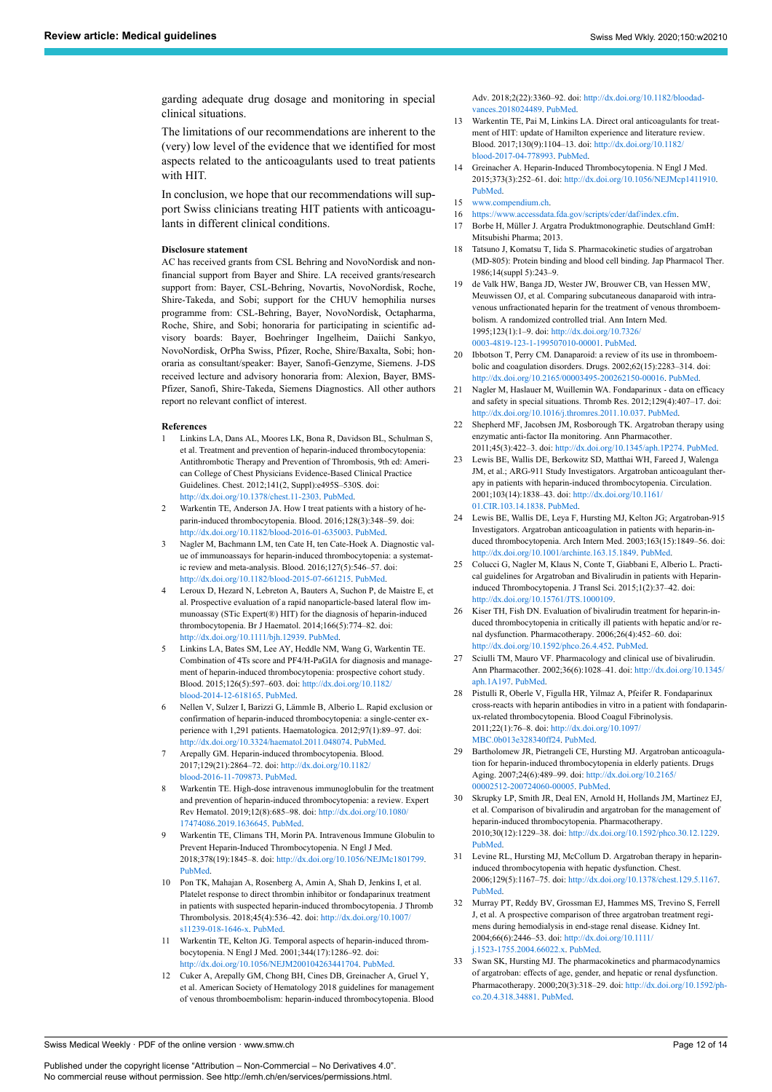garding adequate drug dosage and monitoring in special clinical situations.

<span id="page-11-11"></span>The limitations of our recommendations are inherent to the (very) low level of the evidence that we identified for most aspects related to the anticoagulants used to treat patients with HIT.

<span id="page-11-14"></span><span id="page-11-13"></span><span id="page-11-12"></span>In conclusion, we hope that our recommendations will support Swiss clinicians treating HIT patients with anticoagulants in different clinical conditions.

#### <span id="page-11-16"></span><span id="page-11-15"></span>**Disclosure statement**

<span id="page-11-26"></span>AC has received grants from CSL Behring and NovoNordisk and nonfinancial support from Bayer and Shire. LA received grants/research support from: Bayer, CSL-Behring, Novartis, NovoNordisk, Roche, Shire-Takeda, and Sobi; support for the CHUV hemophilia nurses programme from: CSL-Behring, Bayer, NovoNordisk, Octapharma, Roche, Shire, and Sobi; honoraria for participating in scientific advisory boards: Bayer, Boehringer Ingelheim, Daiichi Sankyo, NovoNordisk, OrPha Swiss, Pfizer, Roche, Shire/Baxalta, Sobi; honoraria as consultant/speaker: Bayer, Sanofi-Genzyme, Siemens. J-DS received lecture and advisory honoraria from: Alexion, Bayer, BMS-Pfizer, Sanofi, Shire-Takeda, Siemens Diagnostics. All other authors report no relevant conflict of interest.

#### <span id="page-11-28"></span><span id="page-11-27"></span><span id="page-11-17"></span><span id="page-11-0"></span>**References**

- <span id="page-11-21"></span>1 Linkins LA, Dans AL, Moores LK, Bona R, Davidson BL, Schulman S, et al. Treatment and prevention of heparin-induced thrombocytopenia: Antithrombotic Therapy and Prevention of Thrombosis, 9th ed: American College of Chest Physicians Evidence-Based Clinical Practice Guidelines. Chest. 2012;141(2, Suppl):e495S–530S. doi: <http://dx.doi.org/10.1378/chest.11-2303>. [PubMed](http://www.ncbi.nlm.nih.gov/entrez/query.fcgi?cmd=Retrieve&db=PubMed&list_uids=22315270&dopt=Abstract).
- <span id="page-11-22"></span><span id="page-11-1"></span>2 Warkentin TE, Anderson JA. How I treat patients with a history of heparin-induced thrombocytopenia. Blood. 2016;128(3):348–59. doi: [http://dx.doi.org/10.1182/blood-2016-01-635003.](http://dx.doi.org/10.1182/blood-2016-01-635003) [PubMed.](http://www.ncbi.nlm.nih.gov/entrez/query.fcgi?cmd=Retrieve&db=PubMed&list_uids=27114458&dopt=Abstract)
- <span id="page-11-25"></span><span id="page-11-2"></span>3 Nagler M, Bachmann LM, ten Cate H, ten Cate-Hoek A. Diagnostic value of immunoassays for heparin-induced thrombocytopenia: a systematic review and meta-analysis. Blood. 2016;127(5):546–57. doi: [http://dx.doi.org/10.1182/blood-2015-07-661215.](http://dx.doi.org/10.1182/blood-2015-07-661215) [PubMed.](http://www.ncbi.nlm.nih.gov/entrez/query.fcgi?cmd=Retrieve&db=PubMed&list_uids=26518436&dopt=Abstract)
- <span id="page-11-29"></span><span id="page-11-3"></span>4 Leroux D, Hezard N, Lebreton A, Bauters A, Suchon P, de Maistre E, et al. Prospective evaluation of a rapid nanoparticle-based lateral flow immunoassay (STic Expert(®) HIT) for the diagnosis of heparin-induced thrombocytopenia. Br J Haematol. 2014;166(5):774–82. doi: [http://dx.doi.org/10.1111/bjh.12939.](http://dx.doi.org/10.1111/bjh.12939) [PubMed](http://www.ncbi.nlm.nih.gov/entrez/query.fcgi?cmd=Retrieve&db=PubMed&list_uids=24815503&dopt=Abstract).
- <span id="page-11-30"></span>Linkins LA, Bates SM, Lee AY, Heddle NM, Wang G, Warkentin TE. Combination of 4Ts score and PF4/H-PaGIA for diagnosis and management of heparin-induced thrombocytopenia: prospective cohort study. Blood. 2015;126(5):597–603. doi: [http://dx.doi.org/10.1182/](http://dx.doi.org/10.1182/blood-2014-12-618165) [blood-2014-12-618165.](http://dx.doi.org/10.1182/blood-2014-12-618165) [PubMed.](http://www.ncbi.nlm.nih.gov/entrez/query.fcgi?cmd=Retrieve&db=PubMed&list_uids=25926600&dopt=Abstract)
- <span id="page-11-31"></span><span id="page-11-4"></span>6 Nellen V, Sulzer I, Barizzi G, Lämmle B, Alberio L. Rapid exclusion or confirmation of heparin-induced thrombocytopenia: a single-center experience with 1,291 patients. Haematologica. 2012;97(1):89–97. doi: [http://dx.doi.org/10.3324/haematol.2011.048074.](http://dx.doi.org/10.3324/haematol.2011.048074) [PubMed](http://www.ncbi.nlm.nih.gov/entrez/query.fcgi?cmd=Retrieve&db=PubMed&list_uids=21933856&dopt=Abstract).
- <span id="page-11-18"></span><span id="page-11-5"></span>Arepally GM. Heparin-induced thrombocytopenia. Blood. 2017;129(21):2864–72. doi: [http://dx.doi.org/10.1182/](http://dx.doi.org/10.1182/blood-2016-11-709873) [blood-2016-11-709873](http://dx.doi.org/10.1182/blood-2016-11-709873). [PubMed.](http://www.ncbi.nlm.nih.gov/entrez/query.fcgi?cmd=Retrieve&db=PubMed&list_uids=28416511&dopt=Abstract)
- <span id="page-11-19"></span><span id="page-11-6"></span>8 Warkentin TE. High-dose intravenous immunoglobulin for the treatment and prevention of heparin-induced thrombocytopenia: a review. Expert Rev Hematol. 2019;12(8):685–98. doi: [http://dx.doi.org/10.1080/](http://dx.doi.org/10.1080/17474086.2019.1636645) [17474086.2019.1636645](http://dx.doi.org/10.1080/17474086.2019.1636645). [PubMed.](http://www.ncbi.nlm.nih.gov/entrez/query.fcgi?cmd=Retrieve&db=PubMed&list_uids=31274032&dopt=Abstract)
- <span id="page-11-20"></span><span id="page-11-7"></span>9 Warkentin TE, Climans TH, Morin PA. Intravenous Immune Globulin to Prevent Heparin-Induced Thrombocytopenia. N Engl J Med. 2018;378(19):1845–8. doi: <http://dx.doi.org/10.1056/NEJMc1801799>. [PubMed.](http://www.ncbi.nlm.nih.gov/entrez/query.fcgi?cmd=Retrieve&db=PubMed&list_uids=29742374&dopt=Abstract)
- <span id="page-11-23"></span><span id="page-11-8"></span>10 Pon TK, Mahajan A, Rosenberg A, Amin A, Shah D, Jenkins I, et al. Platelet response to direct thrombin inhibitor or fondaparinux treatment in patients with suspected heparin-induced thrombocytopenia. J Thromb Thrombolysis. 2018;45(4):536–42. doi: [http://dx.doi.org/10.1007/](http://dx.doi.org/10.1007/s11239-018-1646-x) [s11239-018-1646-x.](http://dx.doi.org/10.1007/s11239-018-1646-x) [PubMed](http://www.ncbi.nlm.nih.gov/entrez/query.fcgi?cmd=Retrieve&db=PubMed&list_uids=29574610&dopt=Abstract).
- <span id="page-11-9"></span>11 Warkentin TE, Kelton JG. Temporal aspects of heparin-induced thrombocytopenia. N Engl J Med. 2001;344(17):1286–92. doi: [http://dx.doi.org/10.1056/NEJM200104263441704.](http://dx.doi.org/10.1056/NEJM200104263441704) [PubMed.](http://www.ncbi.nlm.nih.gov/entrez/query.fcgi?cmd=Retrieve&db=PubMed&list_uids=11320387&dopt=Abstract)
- <span id="page-11-24"></span><span id="page-11-10"></span>12 Cuker A, Arepally GM, Chong BH, Cines DB, Greinacher A, Gruel Y, et al. American Society of Hematology 2018 guidelines for management of venous thromboembolism: heparin-induced thrombocytopenia. Blood

Adv. 2018;2(22):3360–92. doi: [http://dx.doi.org/10.1182/bloodad](http://dx.doi.org/10.1182/bloodadvances.2018024489)[vances.2018024489](http://dx.doi.org/10.1182/bloodadvances.2018024489). [PubMed](http://www.ncbi.nlm.nih.gov/entrez/query.fcgi?cmd=Retrieve&db=PubMed&list_uids=30482768&dopt=Abstract).

- 13 Warkentin TE, Pai M, Linkins LA. Direct oral anticoagulants for treatment of HIT: update of Hamilton experience and literature review. Blood. 2017;130(9):1104–13. doi: [http://dx.doi.org/10.1182/](http://dx.doi.org/10.1182/blood-2017-04-778993) [blood-2017-04-778993.](http://dx.doi.org/10.1182/blood-2017-04-778993) [PubMed](http://www.ncbi.nlm.nih.gov/entrez/query.fcgi?cmd=Retrieve&db=PubMed&list_uids=28646118&dopt=Abstract).
- 14 Greinacher A. Heparin-Induced Thrombocytopenia. N Engl J Med. 2015;373(3):252–61. doi: <http://dx.doi.org/10.1056/NEJMcp1411910>. [PubMed](http://www.ncbi.nlm.nih.gov/entrez/query.fcgi?cmd=Retrieve&db=PubMed&list_uids=26176382&dopt=Abstract).
- 15 [www.compendium.ch](http://www.compendium.ch/).
- 16 <https://www.accessdata.fda.gov/scripts/cder/daf/index.cfm>.
- 17 Borbe H, Müller J. Argatra Produktmonographie. Deutschland GmH: Mitsubishi Pharma; 2013.
- 18 Tatsuno J, Komatsu T, Iida S. Pharmacokinetic studies of argatroban (MD-805): Protein binding and blood cell binding. Jap Pharmacol Ther. 1986;14(suppl 5):243–9.
- 19 de Valk HW, Banga JD, Wester JW, Brouwer CB, van Hessen MW, Meuwissen OJ, et al. Comparing subcutaneous danaparoid with intravenous unfractionated heparin for the treatment of venous thromboembolism. A randomized controlled trial. Ann Intern Med. 1995;123(1):1–9. doi: [http://dx.doi.org/10.7326/](http://dx.doi.org/10.7326/0003-4819-123-1-199507010-00001) [0003-4819-123-1-199507010-00001](http://dx.doi.org/10.7326/0003-4819-123-1-199507010-00001). [PubMed](http://www.ncbi.nlm.nih.gov/entrez/query.fcgi?cmd=Retrieve&db=PubMed&list_uids=7539233&dopt=Abstract).
- 20 Ibbotson T, Perry CM. Danaparoid: a review of its use in thromboembolic and coagulation disorders. Drugs. 2002;62(15):2283–314. doi: <http://dx.doi.org/10.2165/00003495-200262150-00016>. [PubMed.](http://www.ncbi.nlm.nih.gov/entrez/query.fcgi?cmd=Retrieve&db=PubMed&list_uids=12381232&dopt=Abstract)
- 21 Nagler M, Haslauer M, Wuillemin WA. Fondaparinux data on efficacy and safety in special situations. Thromb Res. 2012;129(4):407–17. doi: <http://dx.doi.org/10.1016/j.thromres.2011.10.037>. [PubMed.](http://www.ncbi.nlm.nih.gov/entrez/query.fcgi?cmd=Retrieve&db=PubMed&list_uids=22133273&dopt=Abstract)
- 22 Shepherd MF, Jacobsen JM, Rosborough TK. Argatroban therapy using enzymatic anti-factor IIa monitoring. Ann Pharmacother. 2011;45(3):422–3. doi: <http://dx.doi.org/10.1345/aph.1P274>. [PubMed.](http://www.ncbi.nlm.nih.gov/entrez/query.fcgi?cmd=Retrieve&db=PubMed&list_uids=21386028&dopt=Abstract)
- 23 Lewis BE, Wallis DE, Berkowitz SD, Matthai WH, Fareed J, Walenga JM, et al.; ARG-911 Study Investigators. Argatroban anticoagulant therapy in patients with heparin-induced thrombocytopenia. Circulation. 2001;103(14):1838–43. doi: [http://dx.doi.org/10.1161/](http://dx.doi.org/10.1161/01.CIR.103.14.1838) [01.CIR.103.14.1838](http://dx.doi.org/10.1161/01.CIR.103.14.1838). [PubMed.](http://www.ncbi.nlm.nih.gov/entrez/query.fcgi?cmd=Retrieve&db=PubMed&list_uids=11294800&dopt=Abstract)
- 24 Lewis BE, Wallis DE, Leya F, Hursting MJ, Kelton JG; Argatroban-915 Investigators. Argatroban anticoagulation in patients with heparin-induced thrombocytopenia. Arch Intern Med. 2003;163(15):1849–56. doi: [http://dx.doi.org/10.1001/archinte.163.15.1849.](http://dx.doi.org/10.1001/archinte.163.15.1849) [PubMed](http://www.ncbi.nlm.nih.gov/entrez/query.fcgi?cmd=Retrieve&db=PubMed&list_uids=12912723&dopt=Abstract).
- 25 Colucci G, Nagler M, Klaus N, Conte T, Giabbani E, Alberio L. Practical guidelines for Argatroban and Bivalirudin in patients with Heparininduced Thrombocytopenia. J Transl Sci. 2015;1(2):37–42. doi: [http://dx.doi.org/10.15761/JTS.1000109.](http://dx.doi.org/10.15761/JTS.1000109)
- 26 Kiser TH, Fish DN. Evaluation of bivalirudin treatment for heparin-induced thrombocytopenia in critically ill patients with hepatic and/or renal dysfunction. Pharmacotherapy. 2006;26(4):452–60. doi: <http://dx.doi.org/10.1592/phco.26.4.452>. [PubMed](http://www.ncbi.nlm.nih.gov/entrez/query.fcgi?cmd=Retrieve&db=PubMed&list_uids=16553502&dopt=Abstract).
- 27 Sciulli TM, Mauro VF. Pharmacology and clinical use of bivalirudin. Ann Pharmacother. 2002;36(6):1028–41. doi: [http://dx.doi.org/10.1345/](http://dx.doi.org/10.1345/aph.1A197) [aph.1A197](http://dx.doi.org/10.1345/aph.1A197). [PubMed](http://www.ncbi.nlm.nih.gov/entrez/query.fcgi?cmd=Retrieve&db=PubMed&list_uids=12022907&dopt=Abstract).
- 28 Pistulli R, Oberle V, Figulla HR, Yilmaz A, Pfeifer R. Fondaparinux cross-reacts with heparin antibodies in vitro in a patient with fondaparinux-related thrombocytopenia. Blood Coagul Fibrinolysis. 2011;22(1):76–8. doi: [http://dx.doi.org/10.1097/](http://dx.doi.org/10.1097/MBC.0b013e328340ff24) [MBC.0b013e328340ff24](http://dx.doi.org/10.1097/MBC.0b013e328340ff24). [PubMed](http://www.ncbi.nlm.nih.gov/entrez/query.fcgi?cmd=Retrieve&db=PubMed&list_uids=21076279&dopt=Abstract).
- 29 Bartholomew JR, Pietrangeli CE, Hursting MJ. Argatroban anticoagulation for heparin-induced thrombocytopenia in elderly patients. Drugs Aging. 2007;24(6):489–99. doi: [http://dx.doi.org/10.2165/](http://dx.doi.org/10.2165/00002512-200724060-00005) [00002512-200724060-00005.](http://dx.doi.org/10.2165/00002512-200724060-00005) [PubMed](http://www.ncbi.nlm.nih.gov/entrez/query.fcgi?cmd=Retrieve&db=PubMed&list_uids=17571914&dopt=Abstract).
- 30 Skrupky LP, Smith JR, Deal EN, Arnold H, Hollands JM, Martinez EJ, et al. Comparison of bivalirudin and argatroban for the management of heparin-induced thrombocytopenia. Pharmacotherapy. 2010;30(12):1229–38. doi: <http://dx.doi.org/10.1592/phco.30.12.1229>. [PubMed](http://www.ncbi.nlm.nih.gov/entrez/query.fcgi?cmd=Retrieve&db=PubMed&list_uids=21114390&dopt=Abstract).
- 31 Levine RL, Hursting MJ, McCollum D. Argatroban therapy in heparininduced thrombocytopenia with hepatic dysfunction. Chest. 2006;129(5):1167–75. doi: [http://dx.doi.org/10.1378/chest.129.5.1167.](http://dx.doi.org/10.1378/chest.129.5.1167) [PubMed](http://www.ncbi.nlm.nih.gov/entrez/query.fcgi?cmd=Retrieve&db=PubMed&list_uids=16685006&dopt=Abstract).
- 32 Murray PT, Reddy BV, Grossman EJ, Hammes MS, Trevino S, Ferrell J, et al. A prospective comparison of three argatroban treatment regimens during hemodialysis in end-stage renal disease. Kidney Int. 2004;66(6):2446–53. doi: [http://dx.doi.org/10.1111/](http://dx.doi.org/10.1111/j.1523-1755.2004.66022.x) [j.1523-1755.2004.66022.x.](http://dx.doi.org/10.1111/j.1523-1755.2004.66022.x) [PubMed](http://www.ncbi.nlm.nih.gov/entrez/query.fcgi?cmd=Retrieve&db=PubMed&list_uids=15569338&dopt=Abstract).
- 33 Swan SK, Hursting MJ. The pharmacokinetics and pharmacodynamics of argatroban: effects of age, gender, and hepatic or renal dysfunction. Pharmacotherapy. 2000;20(3):318–29. doi: [http://dx.doi.org/10.1592/ph](http://dx.doi.org/10.1592/phco.20.4.318.34881)[co.20.4.318.34881](http://dx.doi.org/10.1592/phco.20.4.318.34881). [PubMed.](http://www.ncbi.nlm.nih.gov/entrez/query.fcgi?cmd=Retrieve&db=PubMed&list_uids=10730687&dopt=Abstract)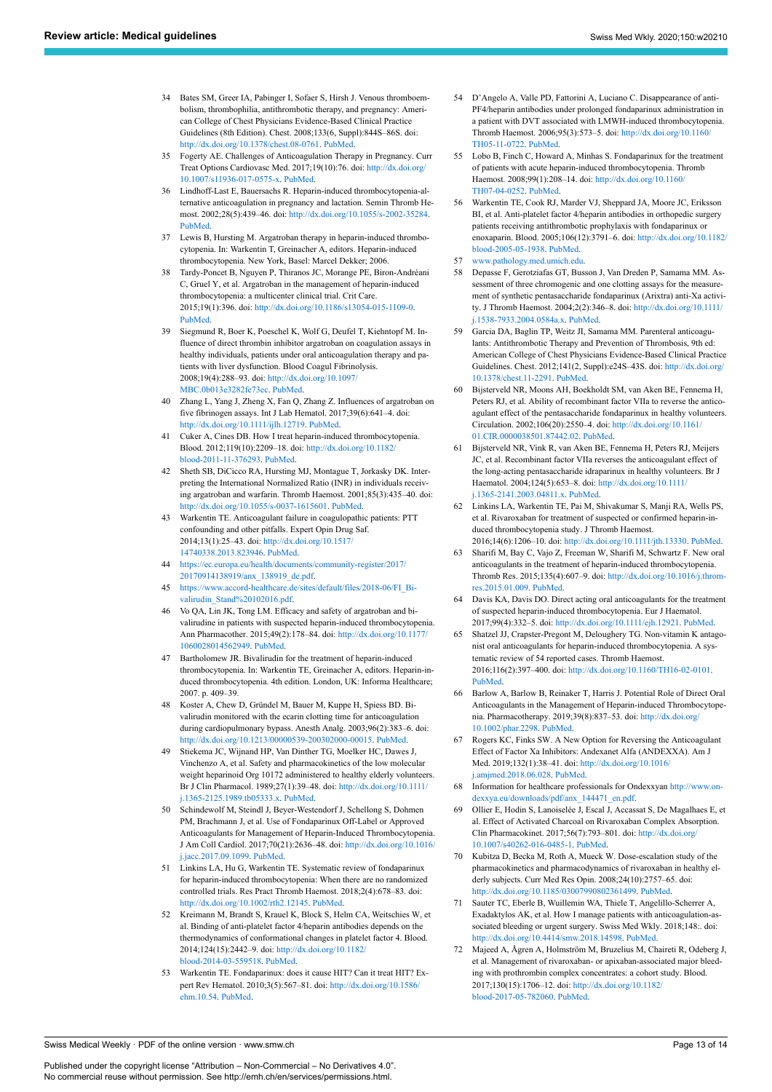- <span id="page-12-0"></span>34 Bates SM, Greer IA, Pabinger I, Sofaer S, Hirsh J. Venous thromboembolism, thrombophilia, antithrombotic therapy, and pregnancy: American College of Chest Physicians Evidence-Based Clinical Practice Guidelines (8th Edition). Chest. 2008;133(6, Suppl):844S–86S. doi: <http://dx.doi.org/10.1378/chest.08-0761>. [PubMed.](http://www.ncbi.nlm.nih.gov/entrez/query.fcgi?cmd=Retrieve&db=PubMed&list_uids=18574280&dopt=Abstract)
- 35 Fogerty AE. Challenges of Anticoagulation Therapy in Pregnancy. Curr Treat Options Cardiovasc Med. 2017;19(10):76. doi: [http://dx.doi.org/](http://dx.doi.org/10.1007/s11936-017-0575-x) [10.1007/s11936-017-0575-x.](http://dx.doi.org/10.1007/s11936-017-0575-x) [PubMed.](http://www.ncbi.nlm.nih.gov/entrez/query.fcgi?cmd=Retrieve&db=PubMed&list_uids=28913590&dopt=Abstract)
- <span id="page-12-19"></span><span id="page-12-1"></span>36 Lindhoff-Last E, Bauersachs R. Heparin-induced thrombocytopenia-alternative anticoagulation in pregnancy and lactation. Semin Thromb Hemost. 2002;28(5):439–46. doi: <http://dx.doi.org/10.1055/s-2002-35284>. [PubMed.](http://www.ncbi.nlm.nih.gov/entrez/query.fcgi?cmd=Retrieve&db=PubMed&list_uids=12420239&dopt=Abstract)
- <span id="page-12-20"></span><span id="page-12-2"></span>37 Lewis B, Hursting M. Argatroban therapy in heparin-induced thrombocytopenia. In: Warkentin T, Greinacher A, editors. Heparin-induced thrombocytopenia. New York, Basel: Marcel Dekker; 2006.
- <span id="page-12-3"></span>38 Tardy-Poncet B, Nguyen P, Thiranos JC, Morange PE, Biron-Andréani C, Gruel Y, et al. Argatroban in the management of heparin-induced thrombocytopenia: a multicenter clinical trial. Crit Care. 2015;19(1):396. doi: [http://dx.doi.org/10.1186/s13054-015-1109-0.](http://dx.doi.org/10.1186/s13054-015-1109-0) [PubMed.](http://www.ncbi.nlm.nih.gov/entrez/query.fcgi?cmd=Retrieve&db=PubMed&list_uids=26556106&dopt=Abstract)
- <span id="page-12-4"></span>39 Siegmund R, Boer K, Poeschel K, Wolf G, Deufel T, Kiehntopf M. Influence of direct thrombin inhibitor argatroban on coagulation assays in healthy individuals, patients under oral anticoagulation therapy and patients with liver dysfunction. Blood Coagul Fibrinolysis. 2008;19(4):288–93. doi: [http://dx.doi.org/10.1097/](http://dx.doi.org/10.1097/MBC.0b013e3282fe73ec) [MBC.0b013e3282fe73ec.](http://dx.doi.org/10.1097/MBC.0b013e3282fe73ec) [PubMed](http://www.ncbi.nlm.nih.gov/entrez/query.fcgi?cmd=Retrieve&db=PubMed&list_uids=18469550&dopt=Abstract).
- <span id="page-12-21"></span><span id="page-12-5"></span>40 Zhang L, Yang J, Zheng X, Fan Q, Zhang Z. Influences of argatroban on five fibrinogen assays. Int J Lab Hematol. 2017;39(6):641–4. doi: <http://dx.doi.org/10.1111/ijlh.12719>. [PubMed](http://www.ncbi.nlm.nih.gov/entrez/query.fcgi?cmd=Retrieve&db=PubMed&list_uids=28766891&dopt=Abstract).
- <span id="page-12-22"></span><span id="page-12-6"></span>41 Cuker A, Cines DB. How I treat heparin-induced thrombocytopenia. Blood. 2012;119(10):2209–18. doi: [http://dx.doi.org/10.1182/](http://dx.doi.org/10.1182/blood-2011-11-376293) [blood-2011-11-376293](http://dx.doi.org/10.1182/blood-2011-11-376293). [PubMed](http://www.ncbi.nlm.nih.gov/entrez/query.fcgi?cmd=Retrieve&db=PubMed&list_uids=22246036&dopt=Abstract).
- <span id="page-12-7"></span>42 Sheth SB, DiCicco RA, Hursting MJ, Montague T, Jorkasky DK. Interpreting the International Normalized Ratio (INR) in individuals receiving argatroban and warfarin. Thromb Haemost. 2001;85(3):435–40. doi: [http://dx.doi.org/10.1055/s-0037-1615601.](http://dx.doi.org/10.1055/s-0037-1615601) [PubMed.](http://www.ncbi.nlm.nih.gov/entrez/query.fcgi?cmd=Retrieve&db=PubMed&list_uids=11307810&dopt=Abstract)
- <span id="page-12-23"></span><span id="page-12-10"></span>43 Warkentin TE. Anticoagulant failure in coagulopathic patients: PTT confounding and other pitfalls. Expert Opin Drug Saf. 2014;13(1):25–43. doi: [http://dx.doi.org/10.1517/](http://dx.doi.org/10.1517/14740338.2013.823946) [14740338.2013.823946](http://dx.doi.org/10.1517/14740338.2013.823946). [PubMed](http://www.ncbi.nlm.nih.gov/entrez/query.fcgi?cmd=Retrieve&db=PubMed&list_uids=23971903&dopt=Abstract).
- <span id="page-12-24"></span><span id="page-12-12"></span>44 [https://ec.europa.eu/health/documents/community-register/2017/](https://ec.europa.eu/health/documents/community-register/2017/20170914138919/anx_138919_de.pdf) [20170914138919/anx\\_138919\\_de.pdf.](https://ec.europa.eu/health/documents/community-register/2017/20170914138919/anx_138919_de.pdf)
- <span id="page-12-25"></span><span id="page-12-13"></span>45 [https://www.accord-healthcare.de/sites/default/files/2018-06/FI\\_Bi](https://www.accord-healthcare.de/sites/default/files/2018-06/FI_Bivalirudin_Stand%20102016.pdf)[valirudin\\_Stand%20102016.pdf](https://www.accord-healthcare.de/sites/default/files/2018-06/FI_Bivalirudin_Stand%20102016.pdf).
- <span id="page-12-26"></span><span id="page-12-14"></span>46 Vo QA, Lin JK, Tong LM. Efficacy and safety of argatroban and bivalirudine in patients with suspected heparin-induced thrombocytopenia. Ann Pharmacother. 2015;49(2):178–84. doi: [http://dx.doi.org/10.1177/](http://dx.doi.org/10.1177/1060028014562949) [1060028014562949.](http://dx.doi.org/10.1177/1060028014562949) [PubMed](http://www.ncbi.nlm.nih.gov/entrez/query.fcgi?cmd=Retrieve&db=PubMed&list_uids=25515865&dopt=Abstract).
- <span id="page-12-9"></span>47 Bartholomew JR. Bivalirudin for the treatment of heparin-induced thrombocytopenia. In: Warkentin TE, Greinacher A, editors. Heparin-induced thrombocytopenia. 4th edition. London, UK: Informa Healthcare; 2007. p. 409–39.
- <span id="page-12-27"></span><span id="page-12-11"></span>48 Koster A, Chew D, Gründel M, Bauer M, Kuppe H, Spiess BD. Bivalirudin monitored with the ecarin clotting time for anticoagulation during cardiopulmonary bypass. Anesth Analg. 2003;96(2):383–6. doi: <http://dx.doi.org/10.1213/00000539-200302000-00015>. [PubMed](http://www.ncbi.nlm.nih.gov/entrez/query.fcgi?cmd=Retrieve&db=PubMed&list_uids=12538181&dopt=Abstract).
- <span id="page-12-28"></span><span id="page-12-8"></span>49 Stiekema JC, Wijnand HP, Van Dinther TG, Moelker HC, Dawes J, Vinchenzo A, et al. Safety and pharmacokinetics of the low molecular weight heparinoid Org 10172 administered to healthy elderly volunteers. Br J Clin Pharmacol. 1989;27(1):39–48. doi: [http://dx.doi.org/10.1111/](http://dx.doi.org/10.1111/j.1365-2125.1989.tb05333.x) [j.1365-2125.1989.tb05333.x.](http://dx.doi.org/10.1111/j.1365-2125.1989.tb05333.x) [PubMed](http://www.ncbi.nlm.nih.gov/entrez/query.fcgi?cmd=Retrieve&db=PubMed&list_uids=2468354&dopt=Abstract).
- <span id="page-12-29"></span><span id="page-12-15"></span>50 Schindewolf M, Steindl J, Beyer-Westendorf J, Schellong S, Dohmen PM, Brachmann J, et al. Use of Fondaparinux Off-Label or Approved Anticoagulants for Management of Heparin-Induced Thrombocytopenia. J Am Coll Cardiol. 2017;70(21):2636–48. doi: [http://dx.doi.org/10.1016/](http://dx.doi.org/10.1016/j.jacc.2017.09.1099) [j.jacc.2017.09.1099](http://dx.doi.org/10.1016/j.jacc.2017.09.1099). [PubMed](http://www.ncbi.nlm.nih.gov/entrez/query.fcgi?cmd=Retrieve&db=PubMed&list_uids=29169470&dopt=Abstract).
- <span id="page-12-30"></span><span id="page-12-16"></span>51 Linkins LA, Hu G, Warkentin TE. Systematic review of fondaparinux for heparin-induced thrombocytopenia: When there are no randomized controlled trials. Res Pract Thromb Haemost. 2018;2(4):678–83. doi: [http://dx.doi.org/10.1002/rth2.12145.](http://dx.doi.org/10.1002/rth2.12145) [PubMed](http://www.ncbi.nlm.nih.gov/entrez/query.fcgi?cmd=Retrieve&db=PubMed&list_uids=30349886&dopt=Abstract).
- <span id="page-12-31"></span><span id="page-12-17"></span>52 Kreimann M, Brandt S, Krauel K, Block S, Helm CA, Weitschies W, et al. Binding of anti-platelet factor 4/heparin antibodies depends on the thermodynamics of conformational changes in platelet factor 4. Blood. 2014;124(15):2442–9. doi: [http://dx.doi.org/10.1182/](http://dx.doi.org/10.1182/blood-2014-03-559518) [blood-2014-03-559518.](http://dx.doi.org/10.1182/blood-2014-03-559518) [PubMed.](http://www.ncbi.nlm.nih.gov/entrez/query.fcgi?cmd=Retrieve&db=PubMed&list_uids=25150299&dopt=Abstract)
- <span id="page-12-32"></span><span id="page-12-18"></span>53 Warkentin TE. Fondaparinux: does it cause HIT? Can it treat HIT? Expert Rev Hematol. 2010;3(5):567–81. doi: [http://dx.doi.org/10.1586/](http://dx.doi.org/10.1586/ehm.10.54) [ehm.10.54](http://dx.doi.org/10.1586/ehm.10.54). [PubMed.](http://www.ncbi.nlm.nih.gov/entrez/query.fcgi?cmd=Retrieve&db=PubMed&list_uids=21083474&dopt=Abstract)
- 54 D'Angelo A, Valle PD, Fattorini A, Luciano C. Disappearance of anti-PF4/heparin antibodies under prolonged fondaparinux administration in a patient with DVT associated with LMWH-induced thrombocytopenia. Thromb Haemost. 2006;95(3):573–5. doi: [http://dx.doi.org/10.1160/](http://dx.doi.org/10.1160/TH05-11-0722) [TH05-11-0722](http://dx.doi.org/10.1160/TH05-11-0722). [PubMed.](http://www.ncbi.nlm.nih.gov/entrez/query.fcgi?cmd=Retrieve&db=PubMed&list_uids=16525590&dopt=Abstract)
- Lobo B, Finch C, Howard A, Minhas S. Fondaparinux for the treatment of patients with acute heparin-induced thrombocytopenia. Thromb Haemost. 2008;99(1):208–14. doi: [http://dx.doi.org/10.1160/](http://dx.doi.org/10.1160/TH07-04-0252) [TH07-04-0252.](http://dx.doi.org/10.1160/TH07-04-0252) [PubMed.](http://www.ncbi.nlm.nih.gov/entrez/query.fcgi?cmd=Retrieve&db=PubMed&list_uids=18217156&dopt=Abstract)
- 56 Warkentin TE, Cook RJ, Marder VJ, Sheppard JA, Moore JC, Eriksson BI, et al. Anti-platelet factor 4/heparin antibodies in orthopedic surgery patients receiving antithrombotic prophylaxis with fondaparinux or enoxaparin. Blood. 2005;106(12):3791–6. doi: [http://dx.doi.org/10.1182/](http://dx.doi.org/10.1182/blood-2005-05-1938) [blood-2005-05-1938](http://dx.doi.org/10.1182/blood-2005-05-1938). [PubMed](http://www.ncbi.nlm.nih.gov/entrez/query.fcgi?cmd=Retrieve&db=PubMed&list_uids=16109780&dopt=Abstract).
- 57 [www.pathology.med.umich.edu.](http://www.pathology.med.umich.edu/)
- 58 Depasse F, Gerotziafas GT, Busson J, Van Dreden P, Samama MM. Assessment of three chromogenic and one clotting assays for the measurement of synthetic pentasaccharide fondaparinux (Arixtra) anti-Xa activity. J Thromb Haemost. 2004;2(2):346–8. doi: [http://dx.doi.org/10.1111/](http://dx.doi.org/10.1111/j.1538-7933.2004.0584a.x) [j.1538-7933.2004.0584a.x](http://dx.doi.org/10.1111/j.1538-7933.2004.0584a.x). [PubMed.](http://www.ncbi.nlm.nih.gov/entrez/query.fcgi?cmd=Retrieve&db=PubMed&list_uids=14996008&dopt=Abstract)
- 59 Garcia DA, Baglin TP, Weitz JI, Samama MM. Parenteral anticoagulants: Antithrombotic Therapy and Prevention of Thrombosis, 9th ed: American College of Chest Physicians Evidence-Based Clinical Practice Guidelines. Chest. 2012;141(2, Suppl):e24S–43S. doi: [http://dx.doi.org/](http://dx.doi.org/10.1378/chest.11-2291) [10.1378/chest.11-2291.](http://dx.doi.org/10.1378/chest.11-2291) [PubMed](http://www.ncbi.nlm.nih.gov/entrez/query.fcgi?cmd=Retrieve&db=PubMed&list_uids=22315264&dopt=Abstract).
- 60 Bijsterveld NR, Moons AH, Boekholdt SM, van Aken BE, Fennema H, Peters RJ, et al. Ability of recombinant factor VIIa to reverse the anticoagulant effect of the pentasaccharide fondaparinux in healthy volunteers. Circulation. 2002;106(20):2550–4. doi: [http://dx.doi.org/10.1161/](http://dx.doi.org/10.1161/01.CIR.0000038501.87442.02) [01.CIR.0000038501.87442.02](http://dx.doi.org/10.1161/01.CIR.0000038501.87442.02). [PubMed.](http://www.ncbi.nlm.nih.gov/entrez/query.fcgi?cmd=Retrieve&db=PubMed&list_uids=12427650&dopt=Abstract)
- 61 Bijsterveld NR, Vink R, van Aken BE, Fennema H, Peters RJ, Meijers JC, et al. Recombinant factor VIIa reverses the anticoagulant effect of the long-acting pentasaccharide idraparinux in healthy volunteers. Br J Haematol. 2004;124(5):653–8. doi: [http://dx.doi.org/10.1111/](http://dx.doi.org/10.1111/j.1365-2141.2003.04811.x) [j.1365-2141.2003.04811.x.](http://dx.doi.org/10.1111/j.1365-2141.2003.04811.x) [PubMed.](http://www.ncbi.nlm.nih.gov/entrez/query.fcgi?cmd=Retrieve&db=PubMed&list_uids=14871253&dopt=Abstract)
- 62 Linkins LA, Warkentin TE, Pai M, Shivakumar S, Manji RA, Wells PS, et al. Rivaroxaban for treatment of suspected or confirmed heparin-induced thrombocytopenia study. J Thromb Haemost.
- 2016;14(6):1206–10. doi: [http://dx.doi.org/10.1111/jth.13330.](http://dx.doi.org/10.1111/jth.13330) [PubMed.](http://www.ncbi.nlm.nih.gov/entrez/query.fcgi?cmd=Retrieve&db=PubMed&list_uids=27061271&dopt=Abstract) 63 Sharifi M, Bay C, Vajo Z, Freeman W, Sharifi M, Schwartz F. New oral anticoagulants in the treatment of heparin-induced thrombocytopenia. Thromb Res. 2015;135(4):607–9. doi: [http://dx.doi.org/10.1016/j.throm-](http://dx.doi.org/10.1016/j.thromres.2015.01.009)
- [res.2015.01.009.](http://dx.doi.org/10.1016/j.thromres.2015.01.009) [PubMed.](http://www.ncbi.nlm.nih.gov/entrez/query.fcgi?cmd=Retrieve&db=PubMed&list_uids=25613925&dopt=Abstract) 64 Davis KA, Davis DO. Direct acting oral anticoagulants for the treatment of suspected heparin-induced thrombocytopenia. Eur J Haematol. 2017;99(4):332–5. doi: <http://dx.doi.org/10.1111/ejh.12921>. [PubMed](http://www.ncbi.nlm.nih.gov/entrez/query.fcgi?cmd=Retrieve&db=PubMed&list_uids=28672052&dopt=Abstract).
- 65 Shatzel JJ, Crapster-Pregont M, Deloughery TG. Non-vitamin K antagonist oral anticoagulants for heparin-induced thrombocytopenia. A systematic review of 54 reported cases. Thromb Haemost. 2016;116(2):397–400. doi: <http://dx.doi.org/10.1160/TH16-02-0101>. [PubMed](http://www.ncbi.nlm.nih.gov/entrez/query.fcgi?cmd=Retrieve&db=PubMed&list_uids=27075620&dopt=Abstract).
- 66 Barlow A, Barlow B, Reinaker T, Harris J. Potential Role of Direct Oral Anticoagulants in the Management of Heparin-induced Thrombocytopenia. Pharmacotherapy. 2019;39(8):837–53. doi: [http://dx.doi.org/](http://dx.doi.org/10.1002/phar.2298) [10.1002/phar.2298.](http://dx.doi.org/10.1002/phar.2298) [PubMed](http://www.ncbi.nlm.nih.gov/entrez/query.fcgi?cmd=Retrieve&db=PubMed&list_uids=31233222&dopt=Abstract).
- 67 Rogers KC, Finks SW. A New Option for Reversing the Anticoagulant Effect of Factor Xa Inhibitors: Andexanet Alfa (ANDEXXA). Am J Med. 2019;132(1):38–41. doi: [http://dx.doi.org/10.1016/](http://dx.doi.org/10.1016/j.amjmed.2018.06.028) [j.amjmed.2018.06.028.](http://dx.doi.org/10.1016/j.amjmed.2018.06.028) [PubMed](http://www.ncbi.nlm.nih.gov/entrez/query.fcgi?cmd=Retrieve&db=PubMed&list_uids=30053385&dopt=Abstract).
- 68 Information for healthcare professionals for Ondexxyan [http://www.on](http://www.ondexxya.eu/downloads/pdf/anx_144471_en.pdf)[dexxya.eu/downloads/pdf/anx\\_144471\\_en.pdf](http://www.ondexxya.eu/downloads/pdf/anx_144471_en.pdf).
- 69 Ollier E, Hodin S, Lanoiselée J, Escal J, Accassat S, De Magalhaes E, et al. Effect of Activated Charcoal on Rivaroxaban Complex Absorption. Clin Pharmacokinet. 2017;56(7):793–801. doi: [http://dx.doi.org/](http://dx.doi.org/10.1007/s40262-016-0485-1) [10.1007/s40262-016-0485-1](http://dx.doi.org/10.1007/s40262-016-0485-1). [PubMed.](http://www.ncbi.nlm.nih.gov/entrez/query.fcgi?cmd=Retrieve&db=PubMed&list_uids=27910037&dopt=Abstract)
- 70 Kubitza D, Becka M, Roth A, Mueck W. Dose-escalation study of the pharmacokinetics and pharmacodynamics of rivaroxaban in healthy elderly subjects. Curr Med Res Opin. 2008;24(10):2757–65. doi: [http://dx.doi.org/10.1185/03007990802361499.](http://dx.doi.org/10.1185/03007990802361499) [PubMed](http://www.ncbi.nlm.nih.gov/entrez/query.fcgi?cmd=Retrieve&db=PubMed&list_uids=18715524&dopt=Abstract).
- 71 Sauter TC, Eberle B, Wuillemin WA, Thiele T, Angelillo-Scherrer A, Exadaktylos AK, et al. How I manage patients with anticoagulation-associated bleeding or urgent surgery. Swiss Med Wkly. 2018;148:. doi: [http://dx.doi.org/10.4414/smw.2018.14598.](http://dx.doi.org/10.4414/smw.2018.14598) [PubMed](http://www.ncbi.nlm.nih.gov/entrez/query.fcgi?cmd=Retrieve&db=PubMed&list_uids=29538795&dopt=Abstract).
- 72 Majeed A, Ågren A, Holmström M, Bruzelius M, Chaireti R, Odeberg J, et al. Management of rivaroxaban- or apixaban-associated major bleeding with prothrombin complex concentrates: a cohort study. Blood. 2017;130(15):1706–12. doi: [http://dx.doi.org/10.1182/](http://dx.doi.org/10.1182/blood-2017-05-782060) [blood-2017-05-782060.](http://dx.doi.org/10.1182/blood-2017-05-782060) [PubMed](http://www.ncbi.nlm.nih.gov/entrez/query.fcgi?cmd=Retrieve&db=PubMed&list_uids=28835439&dopt=Abstract).